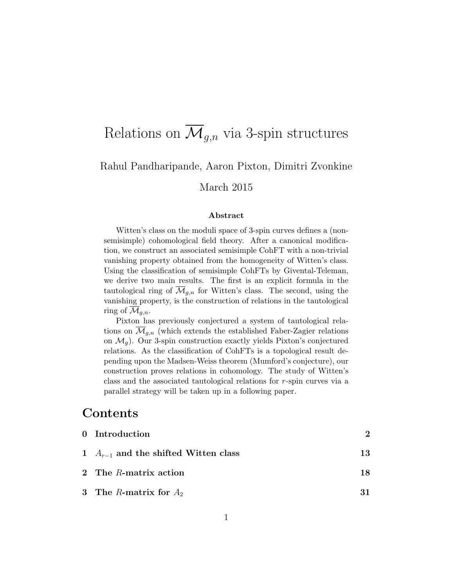# Relations on  $\overline{\mathcal{M}}_{q,n}$  via 3-spin structures

## Rahul Pandharipande, Aaron Pixton, Dimitri Zvonkine

March 2015

#### Abstract

Witten's class on the moduli space of 3-spin curves defines a (nonsemisimple) cohomological field theory. After a canonical modification, we construct an associated semisimple CohFT with a non-trivial vanishing property obtained from the homogeneity of Witten's class. Using the classification of semisimple CohFTs by Givental-Teleman, we derive two main results. The first is an explicit formula in the tautological ring of  $\mathcal{M}_{q,n}$  for Witten's class. The second, using the vanishing property, is the construction of relations in the tautological ring of  $\mathcal{M}_{q,n}$ .

Pixton has previously conjectured a system of tautological relations on  $\overline{\mathcal{M}}_{q,n}$  (which extends the established Faber-Zagier relations on  $\mathcal{M}_q$ ). Our 3-spin construction exactly yields Pixton's conjectured relations. As the classification of CohFTs is a topological result depending upon the Madsen-Weiss theorem (Mumford's conjecture), our construction proves relations in cohomology. The study of Witten's class and the associated tautological relations for r-spin curves via a parallel strategy will be taken up in a following paper.

## Contents

| 0 Introduction                           | $\mathcal{D}$ |
|------------------------------------------|---------------|
| 1 $A_{r-1}$ and the shifted Witten class | 13            |
| 2 The R-matrix action                    | 18            |
| 3 The R-matrix for $A_2$                 |               |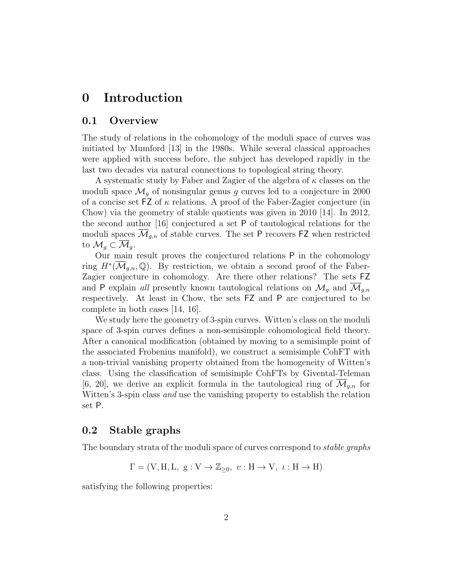## 0 Introduction

### 0.1 Overview

The study of relations in the cohomology of the moduli space of curves was initiated by Mumford [13] in the 1980s. While several classical approaches were applied with success before, the subject has developed rapidly in the last two decades via natural connections to topological string theory.

A systematic study by Faber and Zagier of the algebra of  $\kappa$  classes on the moduli space  $\mathcal{M}_q$  of nonsingular genus g curves led to a conjecture in 2000 of a concise set  $FZ$  of  $\kappa$  relations. A proof of the Faber-Zagier conjecture (in Chow) via the geometry of stable quotients was given in 2010 [14]. In 2012, the second author [16] conjectured a set P of tautological relations for the moduli spaces  $\overline{\mathcal{M}}_{g,n}$  of stable curves. The set P recovers FZ when restricted to  $\mathcal{M}_q \subset \mathcal{M}_q$ .

Our main result proves the conjectured relations P in the cohomology ring  $H^*(\overline{\mathcal{M}}_{g,n},\mathbb{Q})$ . By restriction, we obtain a second proof of the Faber-Zagier conjecture in cohomology. Are there other relations? The sets FZ and P explain all presently known tautological relations on  $\mathcal{M}_q$  and  $\mathcal{M}_{q,n}$ respectively. At least in Chow, the sets FZ and P are conjectured to be complete in both cases [14, 16].

We study here the geometry of 3-spin curves. Witten's class on the moduli space of 3-spin curves defines a non-semisimple cohomological field theory. After a canonical modification (obtained by moving to a semisimple point of the associated Frobenius manifold), we construct a semisimple CohFT with a non-trivial vanishing property obtained from the homogeneity of Witten's class. Using the classification of semisimple CohFTs by Givental-Teleman [6, 20], we derive an explicit formula in the tautological ring of  $\mathcal{M}_{q,n}$  for Witten's 3-spin class *and* use the vanishing property to establish the relation set P.

## 0.2 Stable graphs

The boundary strata of the moduli space of curves correspond to stable graphs

$$
\Gamma = (\mathbf{V}, \mathbf{H}, \mathbf{L}, \mathbf{g} : \mathbf{V} \to \mathbb{Z}_{\geq 0}, \ v : \mathbf{H} \to \mathbf{V}, \ \iota : \mathbf{H} \to \mathbf{H})
$$

satisfying the following properties: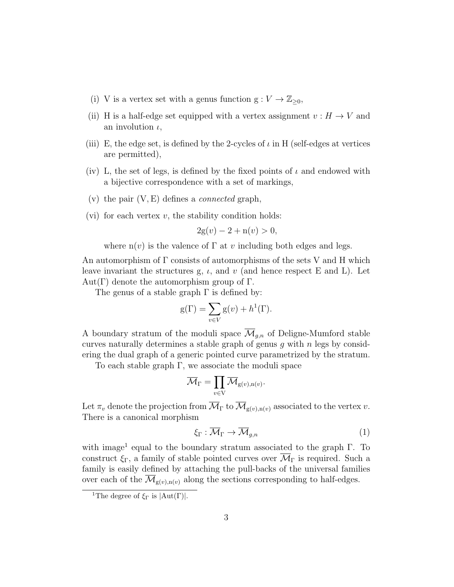- (i) V is a vertex set with a genus function  $g: V \to \mathbb{Z}_{\geq 0}$ ,
- (ii) H is a half-edge set equipped with a vertex assignment  $v : H \to V$  and an involution  $\iota$ ,
- (iii) E, the edge set, is defined by the 2-cycles of  $\iota$  in H (self-edges at vertices are permitted),
- (iv) L, the set of legs, is defined by the fixed points of  $\iota$  and endowed with a bijective correspondence with a set of markings,
- (v) the pair  $(V, E)$  defines a *connected* graph,
- (vi) for each vertex  $v$ , the stability condition holds:

$$
2g(v) - 2 + n(v) > 0,
$$

where  $n(v)$  is the valence of  $\Gamma$  at v including both edges and legs.

An automorphism of  $\Gamma$  consists of automorphisms of the sets V and H which leave invariant the structures g,  $\iota$ , and  $\nu$  (and hence respect E and L). Let Aut(Γ) denote the automorphism group of Γ.

The genus of a stable graph  $\Gamma$  is defined by:

$$
g(\Gamma) = \sum_{v \in V} g(v) + h^{1}(\Gamma).
$$

A boundary stratum of the moduli space  $\overline{\mathcal{M}}_{q,n}$  of Deligne-Mumford stable curves naturally determines a stable graph of genus  $g$  with  $n$  legs by considering the dual graph of a generic pointed curve parametrized by the stratum.

To each stable graph Γ, we associate the moduli space

$$
\overline{\mathcal{M}}_{\Gamma} = \prod_{v \in \mathrm{V}} \overline{\mathcal{M}}_{\mathrm{g}(v),\mathrm{n}(v)}.
$$

Let  $\pi_v$  denote the projection from  $\overline{\mathcal{M}}_{\Gamma}$  to  $\overline{\mathcal{M}}_{g(v),n(v)}$  associated to the vertex v. There is a canonical morphism

$$
\xi_{\Gamma} : \overline{\mathcal{M}}_{\Gamma} \to \overline{\mathcal{M}}_{g,n} \tag{1}
$$

with image<sup>1</sup> equal to the boundary stratum associated to the graph Γ. To construct  $\xi_{\Gamma}$ , a family of stable pointed curves over  $\overline{\mathcal{M}}_{\Gamma}$  is required. Such a family is easily defined by attaching the pull-backs of the universal families over each of the  $\overline{\mathcal{M}}_{g(v),n(v)}$  along the sections corresponding to half-edges.

<sup>&</sup>lt;sup>1</sup>The degree of  $\xi_{\Gamma}$  is  $|Aut(\Gamma)|$ .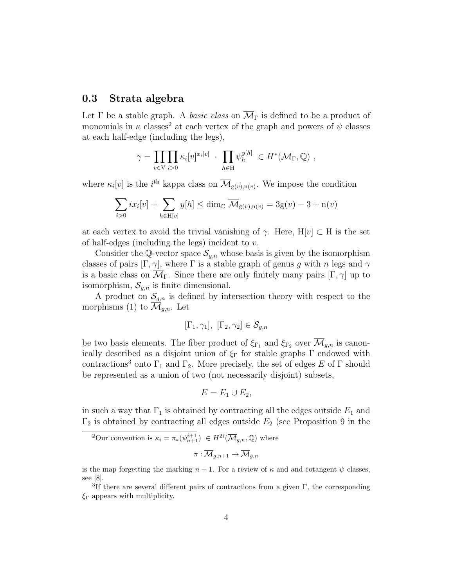### 0.3 Strata algebra

Let  $\Gamma$  be a stable graph. A basic class on  $\overline{\mathcal{M}}_{\Gamma}$  is defined to be a product of monomials in  $\kappa$  classes<sup>2</sup> at each vertex of the graph and powers of  $\psi$  classes at each half-edge (including the legs),

$$
\gamma = \prod_{v \in V} \prod_{i>0} \kappa_i[v]^{x_i[v]} \cdot \prod_{h \in H} \psi_h^{y[h]} \in H^*(\overline{\mathcal{M}}_{\Gamma}, \mathbb{Q}) ,
$$

where  $\kappa_i[v]$  is the *i*<sup>th</sup> kappa class on  $\overline{\mathcal{M}}_{g(v),n(v)}$ . We impose the condition

$$
\sum_{i>0} ix_i[v] + \sum_{h \in \mathcal{H}[v]} y[h] \le \dim_{\mathbb{C}} \overline{\mathcal{M}}_{g(v),n(v)} = 3g(v) - 3 + n(v)
$$

at each vertex to avoid the trivial vanishing of  $\gamma$ . Here, H[v] ⊂ H is the set of half-edges (including the legs) incident to  $v$ .

Consider the Q-vector space  $\mathcal{S}_{q,n}$  whose basis is given by the isomorphism classes of pairs  $[\Gamma, \gamma]$ , where  $\Gamma$  is a stable graph of genus g with n legs and  $\gamma$ is a basic class on  $\overline{\mathcal{M}}_{\Gamma}$ . Since there are only finitely many pairs  $[\Gamma, \gamma]$  up to isomorphism,  $S_{q,n}$  is finite dimensional.

A product on  $\mathcal{S}_{g,n}$  is defined by intersection theory with respect to the morphisms (1) to  $\mathcal{M}_{g,n}$ . Let

$$
[\Gamma_1, \gamma_1], [\Gamma_2, \gamma_2] \in \mathcal{S}_{g,n}
$$

be two basis elements. The fiber product of  $\xi_{\Gamma_1}$  and  $\xi_{\Gamma_2}$  over  $\overline{\mathcal{M}}_{g,n}$  is canonically described as a disjoint union of  $\xi_{\Gamma}$  for stable graphs  $\Gamma$  endowed with contractions<sup>3</sup> onto  $\Gamma_1$  and  $\Gamma_2$ . More precisely, the set of edges E of  $\Gamma$  should be represented as a union of two (not necessarily disjoint) subsets,

$$
E=E_1\cup E_2,
$$

in such a way that  $\Gamma_1$  is obtained by contracting all the edges outside  $E_1$  and  $\Gamma_2$  is obtained by contracting all edges outside  $E_2$  (see Proposition 9 in the

<sup>2</sup>Our convention is 
$$
\kappa_i = \pi_*(\psi_{n+1}^{i+1}) \in H^{2i}(\overline{\mathcal{M}}_{g,n}, \mathbb{Q})
$$
 where  

$$
\pi: \overline{\mathcal{M}}_{g,n+1} \to \overline{\mathcal{M}}_{g,n}
$$

is the map forgetting the marking  $n + 1$ . For a review of  $\kappa$  and and cotangent  $\psi$  classes, see [8].

<sup>&</sup>lt;sup>3</sup>If there are several different pairs of contractions from a given  $\Gamma$ , the corresponding  $\xi_{\Gamma}$  appears with multiplicity.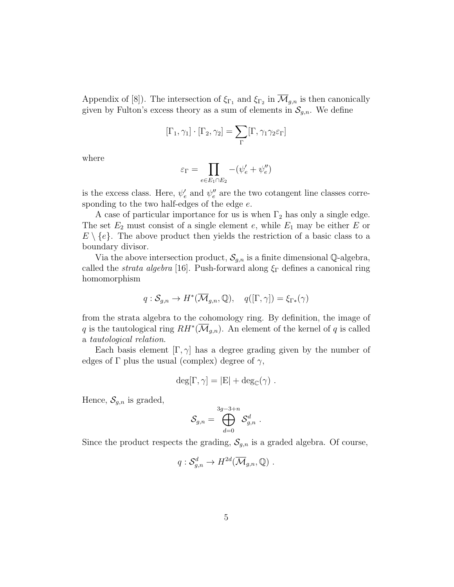Appendix of [8]). The intersection of  $\xi_{\Gamma_1}$  and  $\xi_{\Gamma_2}$  in  $\mathcal{M}_{g,n}$  is then canonically given by Fulton's excess theory as a sum of elements in  $\mathcal{S}_{g,n}$ . We define

$$
[\Gamma_1,\gamma_1]\cdot [\Gamma_2,\gamma_2]=\sum_\Gamma [\Gamma,\gamma_1\gamma_2\varepsilon_\Gamma]
$$

where

$$
\varepsilon_{\Gamma}=\prod_{e\in E_1\cap E_2}-(\psi_e'+\psi_e'')
$$

is the excess class. Here,  $\psi'_e$  and  $\psi''_e$  are the two cotangent line classes corresponding to the two half-edges of the edge  $e$ .

A case of particular importance for us is when  $\Gamma_2$  has only a single edge. The set  $E_2$  must consist of a single element e, while  $E_1$  may be either E or  $E \setminus \{e\}$ . The above product then yields the restriction of a basic class to a boundary divisor.

Via the above intersection product,  $S_{g,n}$  is a finite dimensional Q-algebra, called the *strata algebra* [16]. Push-forward along  $\xi_{\Gamma}$  defines a canonical ring homomorphism

$$
q: \mathcal{S}_{g,n} \to H^*(\overline{\mathcal{M}}_{g,n}, \mathbb{Q}), \quad q([\Gamma, \gamma]) = \xi_{\Gamma^*}(\gamma)
$$

from the strata algebra to the cohomology ring. By definition, the image of q is the tautological ring  $RH^*(\overline{\mathcal{M}}_{g,n})$ . An element of the kernel of q is called a tautological relation.

Each basis element  $[\Gamma, \gamma]$  has a degree grading given by the number of edges of  $\Gamma$  plus the usual (complex) degree of  $\gamma$ ,

$$
\deg[\Gamma, \gamma] = |\mathcal{E}| + \deg_{\mathbb{C}}(\gamma) .
$$

Hence,  $\mathcal{S}_{g,n}$  is graded,

$$
\mathcal{S}_{g,n} = \bigoplus_{d=0}^{3g-3+n} \mathcal{S}_{g,n}^d \; .
$$

Since the product respects the grading,  $S_{g,n}$  is a graded algebra. Of course,

$$
q: \mathcal{S}_{g,n}^d \to H^{2d}(\overline{\mathcal{M}}_{g,n}, \mathbb{Q}) .
$$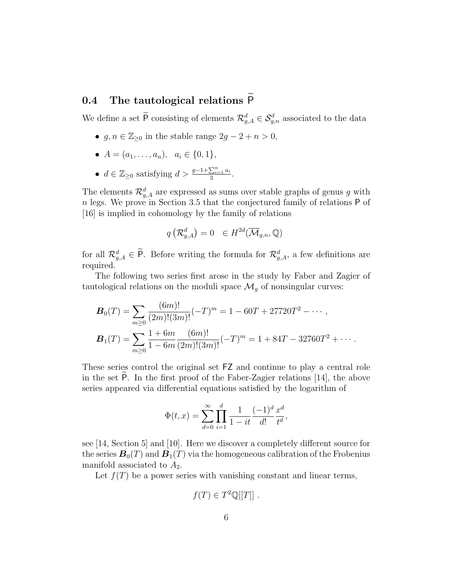## 0.4 The tautological relations  $\widetilde{P}$

We define a set  $\overline{P}$  consisting of elements  $\mathcal{R}_{g,A}^d \in \mathcal{S}_{g,n}^d$  associated to the data

- $g, n \in \mathbb{Z}_{\geq 0}$  in the stable range  $2g 2 + n > 0$ ,
- $A = (a_1, \ldots, a_n), \ a_i \in \{0, 1\},\$
- $d \in \mathbb{Z}_{\geq 0}$  satisfying  $d > \frac{g-1+\sum_{i=1}^n a_i}{3}$  $\frac{\sum_{i=1}a_i}{3}.$

The elements  $\mathcal{R}_{g,A}^d$  are expressed as sums over stable graphs of genus g with n legs. We prove in Section 3.5 that the conjectured family of relations P of [16] is implied in cohomology by the family of relations

$$
q\left(\mathcal{R}_{g,A}^{d}\right)=0 \quad \in H^{2d}(\overline{\mathcal{M}}_{g,n},\mathbb{Q})
$$

for all  $\mathcal{R}_{g,A}^d \in \mathsf{P}$ . Before writing the formula for  $\mathcal{R}_{g,A}^d$ , a few definitions are required.

The following two series first arose in the study by Faber and Zagier of tautological relations on the moduli space  $\mathcal{M}_g$  of nonsingular curves:

$$
\boldsymbol{B}_0(T) = \sum_{m \ge 0} \frac{(6m)!}{(2m)!(3m)!} (-T)^m = 1 - 60T + 27720T^2 - \cdots,
$$
  

$$
\boldsymbol{B}_1(T) = \sum_{m \ge 0} \frac{1 + 6m}{1 - 6m} \frac{(6m)!}{(2m)!(3m)!} (-T)^m = 1 + 84T - 32760T^2 + \cdots.
$$

These series control the original set FZ and continue to play a central role in the set  $\overline{P}$ . In the first proof of the Faber-Zagier relations [14], the above series appeared via differential equations satisfied by the logarithm of

$$
\Phi(t, x) = \sum_{d=0}^{\infty} \prod_{i=1}^{d} \frac{1}{1 - it} \frac{(-1)^d}{d!} \frac{x^d}{t^d},
$$

see [14, Section 5] and [10]. Here we discover a completely different source for the series  $\mathbf{B}_0(T)$  and  $\mathbf{B}_1(T)$  via the homogeneous calibration of the Frobenius manifold associated to  $A_2$ .

Let  $f(T)$  be a power series with vanishing constant and linear terms,

$$
f(T) \in T^2 \mathbb{Q}[[T]] .
$$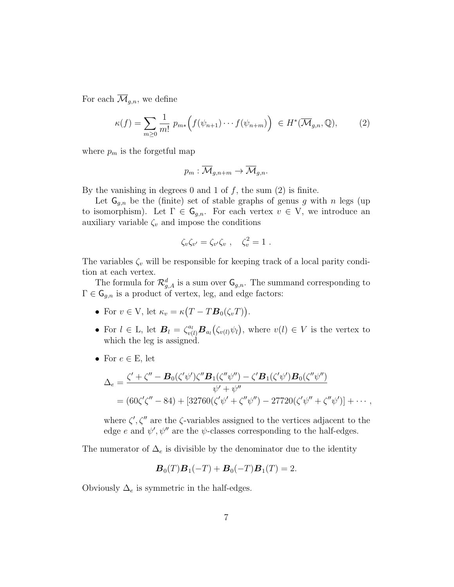For each  $\overline{\mathcal{M}}_{q,n}$ , we define

$$
\kappa(f) = \sum_{m\geq 0} \frac{1}{m!} p_{m*} \Big( f(\psi_{n+1}) \cdots f(\psi_{n+m}) \Big) \in H^*(\overline{\mathcal{M}}_{g,n}, \mathbb{Q}), \tag{2}
$$

where  $p_m$  is the forgetful map

$$
p_m: \overline{\mathcal{M}}_{g,n+m} \to \overline{\mathcal{M}}_{g,n}.
$$

By the vanishing in degrees 0 and 1 of  $f$ , the sum  $(2)$  is finite.

Let  $\mathsf{G}_{q,n}$  be the (finite) set of stable graphs of genus g with n legs (up to isomorphism). Let  $\Gamma \in \mathsf{G}_{g,n}$ . For each vertex  $v \in V$ , we introduce an auxiliary variable  $\zeta_v$  and impose the conditions

$$
\zeta_v \zeta_{v'} = \zeta_{v'} \zeta_v , \quad \zeta_v^2 = 1 .
$$

The variables  $\zeta_v$  will be responsible for keeping track of a local parity condition at each vertex.

The formula for  $\mathcal{R}_{g,A}^d$  is a sum over  $\mathsf{G}_{g,n}$ . The summand corresponding to  $\Gamma \in \mathsf{G}_{g,n}$  is a product of vertex, leg, and edge factors:

- For  $v \in V$ , let  $\kappa_v = \kappa (T T \mathbf{B}_0(\zeta_v T))$ .
- For  $l \in L$ , let  $\mathbf{B}_l = \zeta_{v(l)}^{a_l} \mathbf{B}_{a_l}(\zeta_{v(l)} \psi_l)$ , where  $v(l) \in V$  is the vertex to which the leg is assigned.
- For  $e \in E$ , let

$$
\Delta_e = \frac{\zeta' + \zeta'' - B_0(\zeta'\psi')\zeta''B_1(\zeta''\psi'') - \zeta' B_1(\zeta'\psi')B_0(\zeta''\psi'')}{\psi' + \psi''}
$$
  
=  $(60\zeta'\zeta'' - 84) + [32760(\zeta'\psi' + \zeta''\psi'') - 27720(\zeta'\psi'' + \zeta''\psi')] + \cdots,$ 

where  $\zeta', \zeta''$  are the  $\zeta$ -variables assigned to the vertices adjacent to the edge e and  $\psi', \psi''$  are the  $\psi$ -classes corresponding to the half-edges.

The numerator of  $\Delta_e$  is divisible by the denominator due to the identity

$$
\mathbf{B}_0(T)\mathbf{B}_1(-T) + \mathbf{B}_0(-T)\mathbf{B}_1(T) = 2.
$$

Obviously  $\Delta_e$  is symmetric in the half-edges.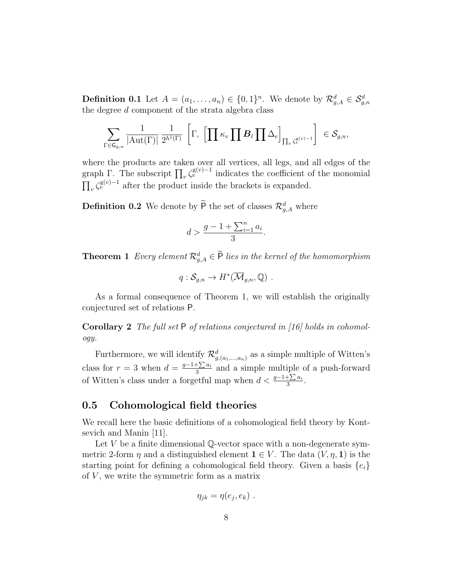**Definition 0.1** Let  $A = (a_1, \ldots, a_n) \in \{0, 1\}^n$ . We denote by  $\mathcal{R}_{g,A}^d \in \mathcal{S}_{g,n}^d$ the degree d component of the strata algebra class

$$
\sum_{\Gamma \in \mathsf{G}_{g,n}} \frac{1}{|\mathrm{Aut}(\Gamma)|} \frac{1}{2^{h^1(\Gamma)}} \,\left[\Gamma,\,\left[\prod \kappa_v \prod \mathcal{B}_l \prod \Delta_e\right]_{\prod_v \zeta_v^{\mathrm{g}(v)-1}}\right] \,\in \mathcal{S}_{g,n},
$$

where the products are taken over all vertices, all legs, and all edges of the graph Γ. The subscript  $\prod_v \zeta_v^{\mathsf{g}(v)-1}$  indicates the coefficient of the monomial  $\prod_{v} \zeta_v^{\mathsf{g}(v)-1}$  after the product inside the brackets is expanded.

**Definition 0.2** We denote by  $\overline{P}$  the set of classes  $\mathcal{R}_{g,A}^d$  where

$$
d > \frac{g - 1 + \sum_{i=1}^{n} a_i}{3}.
$$

**Theorem 1** Every element  $\mathcal{R}_{g,A}^d \in \mathsf{P}$  lies in the kernel of the homomorphism

$$
q: \mathcal{S}_{g,n} \to H^*(\overline{\mathcal{M}}_{g,n}, \mathbb{Q}) .
$$

As a formal consequence of Theorem 1, we will establish the originally conjectured set of relations P.

Corollary 2 The full set P of relations conjectured in [16] holds in cohomology.

Furthermore, we will identify  $\mathcal{R}^d_{g,(a_1,...,a_n)}$  as a simple multiple of Witten's class for  $r = 3$  when  $d = \frac{g-1+\sum a_i}{3}$  $\frac{1 \sum a_i}{3}$  and a simple multiple of a push-forward of Witten's class under a forgetful map when  $d < \frac{g-1+\sum a_i}{3}$ .

## 0.5 Cohomological field theories

We recall here the basic definitions of a cohomological field theory by Kontsevich and Manin [11].

Let  $V$  be a finite dimensional Q-vector space with a non-degenerate symmetric 2-form  $\eta$  and a distinguished element  $\mathbf{1} \in V$ . The data  $(V, \eta, \mathbf{1})$  is the starting point for defining a cohomological field theory. Given a basis  $\{e_i\}$ of  $V$ , we write the symmetric form as a matrix

$$
\eta_{jk} = \eta(e_j, e_k) \ .
$$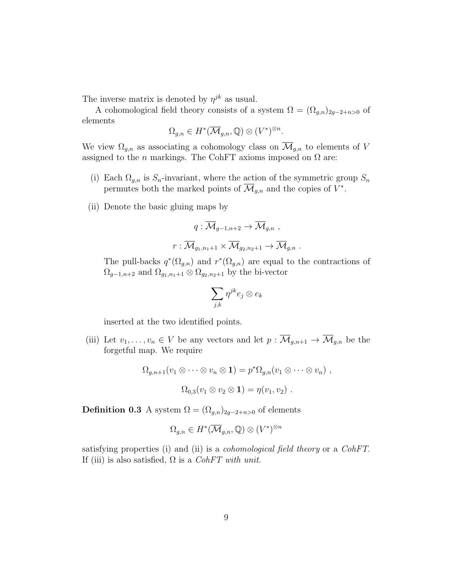The inverse matrix is denoted by  $\eta^{jk}$  as usual.

A cohomological field theory consists of a system  $\Omega = (\Omega_{g,n})_{2g-2+n>0}$  of elements

$$
\Omega_{g,n} \in H^*(\overline{\mathcal{M}}_{g,n}, \mathbb{Q}) \otimes (V^*)^{\otimes n}.
$$

We view  $\Omega_{g,n}$  as associating a cohomology class on  $\overline{\mathcal{M}}_{g,n}$  to elements of V assigned to the *n* markings. The CohFT axioms imposed on  $\Omega$  are:

- (i) Each  $\Omega_{g,n}$  is  $S_n$ -invariant, where the action of the symmetric group  $S_n$ permutes both the marked points of  $\overline{\mathcal{M}}_{g,n}$  and the copies of  $V^*$ .
- (ii) Denote the basic gluing maps by

$$
q: \overline{\mathcal{M}}_{g-1,n+2} \to \overline{\mathcal{M}}_{g,n} ,
$$

$$
r: \overline{\mathcal{M}}_{g_1,n_1+1} \times \overline{\mathcal{M}}_{g_2,n_2+1} \to \overline{\mathcal{M}}_{g,n} .
$$

The pull-backs  $q^*(\Omega_{g,n})$  and  $r^*(\Omega_{g,n})$  are equal to the contractions of  $\Omega_{g-1,n+2}$  and  $\Omega_{g_1,n_1+1}\otimes \Omega_{g_2,n_2+1}$  by the bi-vector

$$
\sum_{j,k}\eta^{jk}e_j\otimes e_k
$$

inserted at the two identified points.

(iii) Let  $v_1, \ldots, v_n \in V$  be any vectors and let  $p : \overline{\mathcal{M}}_{g,n+1} \to \overline{\mathcal{M}}_{g,n}$  be the forgetful map. We require

$$
\Omega_{g,n+1}(v_1 \otimes \cdots \otimes v_n \otimes \mathbf{1}) = p^*\Omega_{g,n}(v_1 \otimes \cdots \otimes v_n),
$$
  

$$
\Omega_{0,3}(v_1 \otimes v_2 \otimes \mathbf{1}) = \eta(v_1, v_2).
$$

**Definition 0.3** A system  $\Omega = (\Omega_{g,n})_{2g-2+n>0}$  of elements

$$
\Omega_{g,n} \in H^*(\overline{\mathcal{M}}_{g,n}, \mathbb{Q}) \otimes (V^*)^{\otimes n}
$$

satisfying properties (i) and (ii) is a cohomological field theory or a CohFT. If (iii) is also satisfied,  $\Omega$  is a CohFT with unit.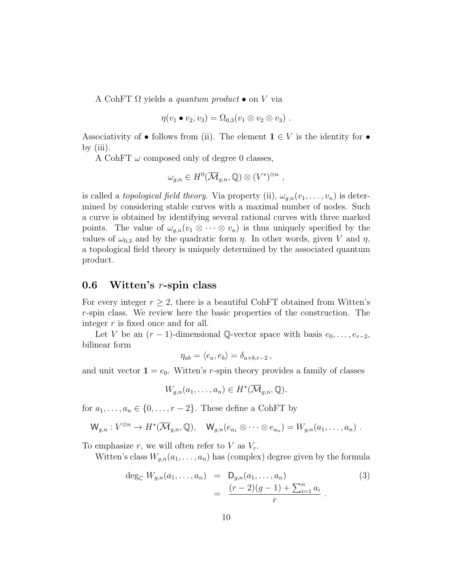A CohFT  $\Omega$  yields a *quantum product*  $\bullet$  on V via

$$
\eta(v_1 \bullet v_2, v_3) = \Omega_{0,3}(v_1 \otimes v_2 \otimes v_3) .
$$

Associativity of • follows from (ii). The element  $\mathbf{1} \in V$  is the identity for • by (iii).

A CohFT  $\omega$  composed only of degree 0 classes,

$$
\omega_{g,n} \in H^0(\overline{\mathcal{M}}_{g,n}, \mathbb{Q}) \otimes (V^*)^{\otimes n},
$$

is called a *topological field theory*. Via property (ii),  $\omega_{a,n}(v_1,\ldots,v_n)$  is determined by considering stable curves with a maximal number of nodes. Such a curve is obtained by identifying several rational curves with three marked points. The value of  $\omega_{q,n}(v_1 \otimes \cdots \otimes v_n)$  is thus uniquely specified by the values of  $\omega_{0,3}$  and by the quadratic form  $\eta$ . In other words, given V and  $\eta$ , a topological field theory is uniquely determined by the associated quantum product.

## 0.6 Witten's  $r$ -spin class

For every integer  $r \geq 2$ , there is a beautiful CohFT obtained from Witten's r-spin class. We review here the basic properties of the construction. The integer  $r$  is fixed once and for all.

Let V be an  $(r-1)$ -dimensional Q-vector space with basis  $e_0, \ldots, e_{r-2}$ , bilinear form

$$
\eta_{ab} = \langle e_a, e_b \rangle = \delta_{a+b,r-2} \,,
$$

and unit vector  $\mathbf{1} = e_0$ . Witten's r-spin theory provides a family of classes

$$
W_{g,n}(a_1,\ldots,a_n)\in H^*(\overline{\mathcal{M}}_{g,n},\mathbb{Q}).
$$

for  $a_1, \ldots, a_n \in \{0, \ldots, r-2\}$ . These define a CohFT by

$$
\mathsf{W}_{g,n}: V^{\otimes n} \to H^*(\overline{\mathcal{M}}_{g,n}, \mathbb{Q}), \quad \mathsf{W}_{g,n}(e_{a_1} \otimes \cdots \otimes e_{a_n}) = W_{g,n}(a_1, \ldots, a_n) .
$$

To emphasize r, we will often refer to V as  $V_r$ .

Witten's class  $W_{q,n}(a_1,\ldots,a_n)$  has (complex) degree given by the formula

$$
\deg_{\mathbb{C}} W_{g,n}(a_1,\ldots,a_n) = D_{g,n}(a_1,\ldots,a_n) \n= \frac{(r-2)(g-1) + \sum_{i=1}^n a_i}{r}.
$$
\n(3)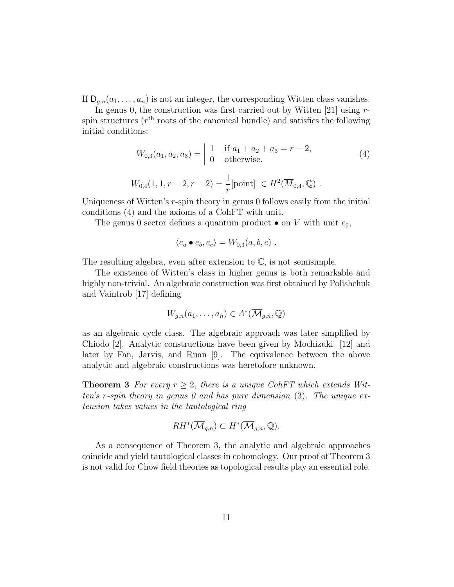If  $D_{q,n}(a_1,\ldots,a_n)$  is not an integer, the corresponding Witten class vanishes.

In genus 0, the construction was first carried out by Witten  $[21]$  using rspin structures ( $r<sup>th</sup>$  roots of the canonical bundle) and satisfies the following initial conditions:

$$
W_{0,3}(a_1, a_2, a_3) = \begin{vmatrix} 1 & \text{if } a_1 + a_2 + a_3 = r - 2, \\ 0 & \text{otherwise.} \end{vmatrix}
$$
 (4)

$$
W_{0,4}(1,1,r-2,r-2) = \frac{1}{r} [\text{point}] \in H^2(\overline{M}_{0,4}, \mathbb{Q}) .
$$

Uniqueness of Witten's r-spin theory in genus 0 follows easily from the initial conditions (4) and the axioms of a CohFT with unit.

The genus 0 sector defines a quantum product  $\bullet$  on V with unit  $e_0$ ,

$$
\langle e_a \bullet e_b, e_c \rangle = W_{0,3}(a, b, c) .
$$

The resulting algebra, even after extension to  $\mathbb{C}$ , is not semisimple.

The existence of Witten's class in higher genus is both remarkable and highly non-trivial. An algebraic construction was first obtained by Polishchuk and Vaintrob [17] defining

$$
W_{g,n}(a_1,\ldots,a_n)\in A^*(\overline{\mathcal{M}}_{g,n},\mathbb{Q})
$$

as an algebraic cycle class. The algebraic approach was later simplified by Chiodo [2]. Analytic constructions have been given by Mochizuki [12] and later by Fan, Jarvis, and Ruan [9]. The equivalence between the above analytic and algebraic constructions was heretofore unknown.

**Theorem 3** For every  $r \geq 2$ , there is a unique CohFT which extends Witten's r-spin theory in genus 0 and has pure dimension  $(3)$ . The unique extension takes values in the tautological ring

$$
RH^*(\overline{\mathcal{M}}_{g,n}) \subset H^*(\overline{\mathcal{M}}_{g,n},\mathbb{Q}).
$$

As a consequence of Theorem 3, the analytic and algebraic approaches coincide and yield tautological classes in cohomology. Our proof of Theorem 3 is not valid for Chow field theories as topological results play an essential role.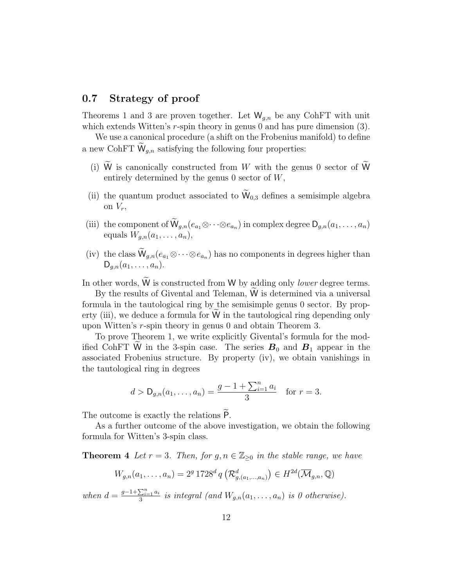## 0.7 Strategy of proof

Theorems 1 and 3 are proven together. Let  $W_{g,n}$  be any CohFT with unit which extends Witten's  $r$ -spin theory in genus 0 and has pure dimension (3).

We use a canonical procedure (a shift on the Frobenius manifold) to define a new CohFT  $\widetilde{W}_{q,n}$  satisfying the following four properties:

- (i) W is canonically constructed from  $W$  with the genus 0 sector of W entirely determined by the genus  $0$  sector of  $W$ ,
- (ii) the quantum product associated to  $\widetilde{W}_{0,3}$  defines a semisimple algebra on  $V_r$ ,
- (iii) the component of  $\mathsf{W}_{g,n}(e_{a_1} \otimes \cdots \otimes e_{a_n})$  in complex degree  $\mathsf{D}_{g,n}(a_1,\ldots,a_n)$ equals  $W_{q,n}(a_1,\ldots,a_n),$
- (iv) the class  $\mathsf{W}_{g,n}(e_{a_1} \otimes \cdots \otimes e_{a_n})$  has no components in degrees higher than  $D_{q,n}(a_1, \ldots, a_n).$

In other words,  $W$  is constructed from  $W$  by adding only *lower* degree terms.

By the results of Givental and Teleman, W is determined via a universal formula in the tautological ring by the semisimple genus 0 sector. By property (iii), we deduce a formula for  $W$  in the tautological ring depending only upon Witten's r-spin theory in genus 0 and obtain Theorem 3.

To prove Theorem 1, we write explicitly Givental's formula for the modified CohFT W in the 3-spin case. The series  $B_0$  and  $B_1$  appear in the associated Frobenius structure. By property (iv), we obtain vanishings in the tautological ring in degrees

$$
d > \mathsf{D}_{g,n}(a_1,\ldots,a_n) = \frac{g-1+\sum_{i=1}^n a_i}{3} \text{ for } r=3.
$$

The outcome is exactly the relations  $\widetilde{P}$ .

As a further outcome of the above investigation, we obtain the following formula for Witten's 3-spin class.

**Theorem 4** Let  $r = 3$ . Then, for  $g, n \in \mathbb{Z}_{\geq 0}$  in the stable range, we have

$$
W_{g,n}(a_1,\ldots,a_n) = 2^g 1728^d q\left(\mathcal{R}_{g,(a_1,\ldots,a_n)}^d\right) \in H^{2d}(\overline{\mathcal{M}}_{g,n},\mathbb{Q})
$$

when  $d = \frac{g-1+\sum_{i=1}^{n} a_i}{2}$  $\frac{\sum_{i=1}a_i}{3}$  is integral (and  $W_{g,n}(a_1,\ldots,a_n)$  is 0 otherwise).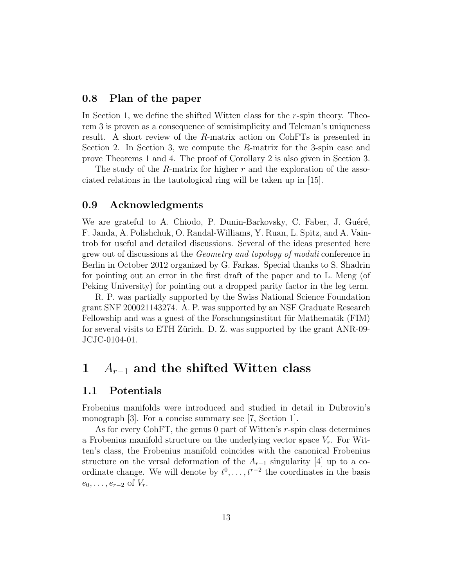## 0.8 Plan of the paper

In Section 1, we define the shifted Witten class for the r-spin theory. Theorem 3 is proven as a consequence of semisimplicity and Teleman's uniqueness result. A short review of the R-matrix action on CohFTs is presented in Section 2. In Section 3, we compute the R-matrix for the 3-spin case and prove Theorems 1 and 4. The proof of Corollary 2 is also given in Section 3.

The study of the R-matrix for higher  $r$  and the exploration of the associated relations in the tautological ring will be taken up in [15].

## 0.9 Acknowledgments

We are grateful to A. Chiodo, P. Dunin-Barkovsky, C. Faber, J. Guéré, F. Janda, A. Polishchuk, O. Randal-Williams, Y. Ruan, L. Spitz, and A. Vaintrob for useful and detailed discussions. Several of the ideas presented here grew out of discussions at the Geometry and topology of moduli conference in Berlin in October 2012 organized by G. Farkas. Special thanks to S. Shadrin for pointing out an error in the first draft of the paper and to L. Meng (of Peking University) for pointing out a dropped parity factor in the leg term.

R. P. was partially supported by the Swiss National Science Foundation grant SNF 200021143274. A. P. was supported by an NSF Graduate Research Fellowship and was a guest of the Forschungsinstitut für Mathematik (FIM) for several visits to ETH Zürich. D. Z. was supported by the grant ANR-09-JCJC-0104-01.

## 1  $A_{r-1}$  and the shifted Witten class

## 1.1 Potentials

Frobenius manifolds were introduced and studied in detail in Dubrovin's monograph [3]. For a concise summary see [7, Section 1].

As for every CohFT, the genus 0 part of Witten's r-spin class determines a Frobenius manifold structure on the underlying vector space  $V_r$ . For Witten's class, the Frobenius manifold coincides with the canonical Frobenius structure on the versal deformation of the  $A_{r-1}$  singularity [4] up to a coordinate change. We will denote by  $t^0, \ldots, t^{r-2}$  the coordinates in the basis  $e_0, \ldots, e_{r-2}$  of  $V_r$ .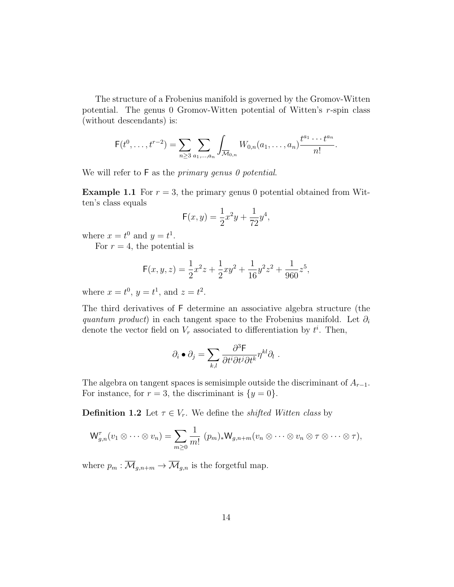The structure of a Frobenius manifold is governed by the Gromov-Witten potential. The genus 0 Gromov-Witten potential of Witten's r-spin class (without descendants) is:

$$
F(t^0, \ldots, t^{r-2}) = \sum_{n \geq 3} \sum_{a_1, \ldots, a_n} \int_{\overline{\mathcal{M}}_{0,n}} W_{0,n}(a_1, \ldots, a_n) \frac{t^{a_1} \cdots t^{a_n}}{n!}.
$$

We will refer to  $F$  as the *primary genus 0 potential*.

**Example 1.1** For  $r = 3$ , the primary genus 0 potential obtained from Witten's class equals

$$
\mathsf{F}(x,y) = \frac{1}{2}x^2y + \frac{1}{72}y^4,
$$

where  $x = t^0$  and  $y = t^1$ .

For  $r = 4$ , the potential is

$$
\mathsf{F}(x,y,z) = \frac{1}{2}x^2z + \frac{1}{2}xy^2 + \frac{1}{16}y^2z^2 + \frac{1}{960}z^5,
$$

where  $x = t^0$ ,  $y = t^1$ , and  $z = t^2$ .

The third derivatives of F determine an associative algebra structure (the quantum product) in each tangent space to the Frobenius manifold. Let  $\partial_i$ denote the vector field on  $V_r$  associated to differentiation by  $t^i$ . Then,

$$
\partial_i \bullet \partial_j = \sum_{k,l} \frac{\partial^3 \mathsf{F}}{\partial t^i \partial t^j \partial t^k} \eta^{kl} \partial_l.
$$

The algebra on tangent spaces is semisimple outside the discriminant of  $A_{r-1}$ . For instance, for  $r = 3$ , the discriminant is  $\{y = 0\}.$ 

**Definition 1.2** Let  $\tau \in V_r$ . We define the *shifted Witten class* by

$$
\mathsf{W}_{g,n}^{\tau}(v_1 \otimes \cdots \otimes v_n) = \sum_{m \geq 0} \frac{1}{m!} \ (p_m)_* \mathsf{W}_{g,n+m}(v_n \otimes \cdots \otimes v_n \otimes \tau \otimes \cdots \otimes \tau),
$$

where  $p_m : \overline{\mathcal{M}}_{q,n+m} \to \overline{\mathcal{M}}_{q,n}$  is the forgetful map.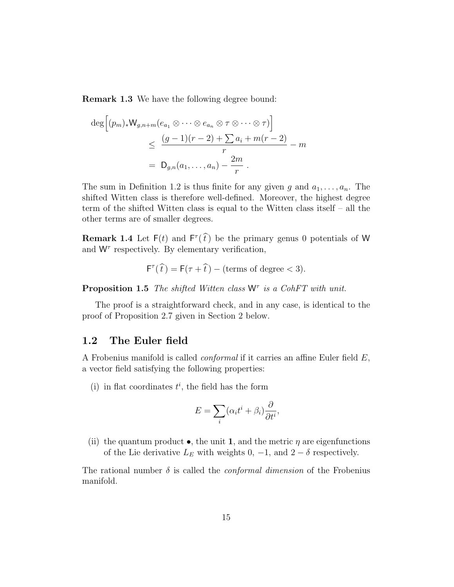Remark 1.3 We have the following degree bound:

$$
\deg \left[ (p_m)_* W_{g,n+m}(e_{a_1} \otimes \cdots \otimes e_{a_n} \otimes \tau \otimes \cdots \otimes \tau) \right]
$$
  

$$
\leq \frac{(g-1)(r-2) + \sum a_i + m(r-2)}{r} - m
$$
  

$$
= D_{g,n}(a_1, \ldots, a_n) - \frac{2m}{r}.
$$

The sum in Definition 1.2 is thus finite for any given g and  $a_1, \ldots, a_n$ . The shifted Witten class is therefore well-defined. Moreover, the highest degree term of the shifted Witten class is equal to the Witten class itself – all the other terms are of smaller degrees.

**Remark 1.4** Let  $F(t)$  and  $F^{\tau}(\hat{t})$  be the primary genus 0 potentials of W and  $W<sup>\tau</sup>$  respectively. By elementary verification,

$$
F^{\tau}(\hat{t}) = F(\tau + \hat{t}) - (\text{terms of degree} < 3).
$$

**Proposition 1.5** The shifted Witten class  $W^{\tau}$  is a CohFT with unit.

The proof is a straightforward check, and in any case, is identical to the proof of Proposition 2.7 given in Section 2 below.

### 1.2 The Euler field

A Frobenius manifold is called conformal if it carries an affine Euler field E, a vector field satisfying the following properties:

(i) in flat coordinates  $t^i$ , the field has the form

$$
E = \sum_{i} (\alpha_i t^i + \beta_i) \frac{\partial}{\partial t^i},
$$

(ii) the quantum product  $\bullet$ , the unit 1, and the metric  $\eta$  are eigenfunctions of the Lie derivative  $L_E$  with weights 0, -1, and 2 –  $\delta$  respectively.

The rational number  $\delta$  is called the *conformal dimension* of the Frobenius manifold.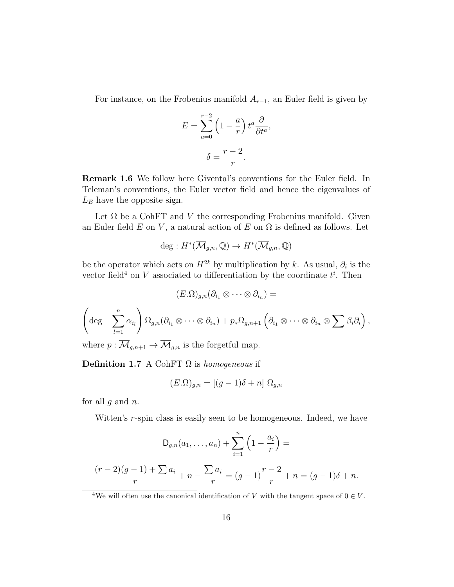For instance, on the Frobenius manifold  $A_{r-1}$ , an Euler field is given by

$$
E = \sum_{a=0}^{r-2} \left(1 - \frac{a}{r}\right) t^a \frac{\partial}{\partial t^a},
$$

$$
\delta = \frac{r-2}{r}.
$$

Remark 1.6 We follow here Givental's conventions for the Euler field. In Teleman's conventions, the Euler vector field and hence the eigenvalues of  $L<sub>E</sub>$  have the opposite sign.

Let  $\Omega$  be a CohFT and V the corresponding Frobenius manifold. Given an Euler field E on V, a natural action of E on  $\Omega$  is defined as follows. Let

$$
\deg: H^*(\overline{\mathcal{M}}_{g,n}, \mathbb{Q}) \to H^*(\overline{\mathcal{M}}_{g,n}, \mathbb{Q})
$$

be the operator which acts on  $H^{2k}$  by multiplication by k. As usual,  $\partial_i$  is the vector field<sup>4</sup> on V associated to differentiation by the coordinate  $t^i$ . Then

$$
(E.\Omega)_{g,n}(\partial_{i_1}\otimes\cdots\otimes\partial_{i_n})=
$$

$$
\left(\deg + \sum_{l=1}^n \alpha_{i_l}\right) \Omega_{g,n}(\partial_{i_1} \otimes \cdots \otimes \partial_{i_n}) + p_* \Omega_{g,n+1} \left(\partial_{i_1} \otimes \cdots \otimes \partial_{i_n} \otimes \sum \beta_i \partial_i\right),
$$
  
where  $n: \overline{M}$  is the for  
refrily map.

where  $p: \mathcal{M}_{g,n+1} \to \mathcal{M}_{g,n}$  is the forgetful map.

**Definition 1.7** A CohFT  $\Omega$  is homogeneous if

$$
(E.\Omega)_{g,n} = [(g-1)\delta + n] \Omega_{g,n}
$$

for all  $q$  and  $n$ .

Witten's r-spin class is easily seen to be homogeneous. Indeed, we have

$$
D_{g,n}(a_1,\ldots,a_n) + \sum_{i=1}^n \left(1 - \frac{a_i}{r}\right) =
$$
  

$$
\frac{(r-2)(g-1) + \sum a_i}{r} + n - \frac{\sum a_i}{r} = (g-1)\frac{r-2}{r} + n = (g-1)\delta + n.
$$

<sup>4</sup>We will often use the canonical identification of V with the tangent space of  $0 \in V$ .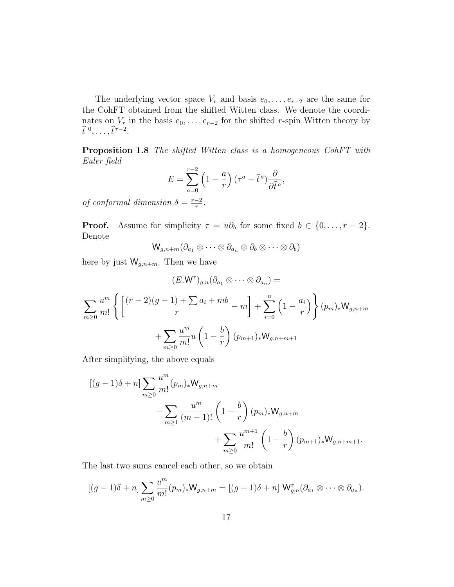The underlying vector space  $V_r$  and basis  $e_0, \ldots, e_{r-2}$  are the same for the CohFT obtained from the shifted Witten class. We denote the coordinates on  $V_r$  in the basis  $e_0, \ldots, e_{r-2}$  for the shifted r-spin Witten theory by  $\widehat{t}^0, \ldots, \widehat{t}^{r-2}.$ 

Proposition 1.8 The shifted Witten class is a homogeneous CohFT with Euler field

$$
E = \sum_{a=0}^{r-2} \left(1 - \frac{a}{r}\right) \left(\tau^a + \hat{t}^a\right) \frac{\partial}{\partial \hat{t}^a},
$$

of conformal dimension  $\delta = \frac{r-2}{r}$  $\frac{-2}{r}$ .

**Proof.** Assume for simplicity  $\tau = u\partial_b$  for some fixed  $b \in \{0, ..., r - 2\}$ . Denote

$$
\mathsf W_{g,n+m}(\partial_{a_1}\otimes\cdots\otimes\partial_{a_n}\otimes\partial_b\otimes\cdots\otimes\partial_b)
$$

here by just  $\mathsf{W}_{g,n+m}$ . Then we have

$$
(E.W^{\tau})_{g,n}(\partial_{a_1} \otimes \cdots \otimes \partial_{a_n}) =
$$
  

$$
\sum_{m\geq 0} \frac{u^m}{m!} \left\{ \left[ \frac{(r-2)(g-1) + \sum a_i + mb}{r} - m \right] + \sum_{i=0}^n \left( 1 - \frac{a_i}{r} \right) \right\} (p_m)_* W_{g,n+m}
$$
  

$$
+ \sum_{m\geq 0} \frac{u^m}{m!} u \left( 1 - \frac{b}{r} \right) (p_{m+1})_* W_{g,n+m+1}
$$

After simplifying, the above equals

$$
[(g-1)\delta + n] \sum_{m\geq 0} \frac{u^m}{m!} (p_m)_* W_{g,n+m}
$$
  

$$
- \sum_{m\geq 1} \frac{u^m}{(m-1)!} \left(1 - \frac{b}{r}\right) (p_m)_* W_{g,n+m}
$$
  

$$
+ \sum_{m\geq 0} \frac{u^{m+1}}{m!} \left(1 - \frac{b}{r}\right) (p_{m+1})_* W_{g,n+m+1}.
$$

The last two sums cancel each other, so we obtain

$$
[(g-1)\delta+n]\sum_{m\geq 0}\frac{u^m}{m!}(p_m)_*W_{g,n+m}=[(g-1)\delta+n]W_{g,n}^{\tau}(\partial_{a_1}\otimes\cdots\otimes\partial_{a_n}).
$$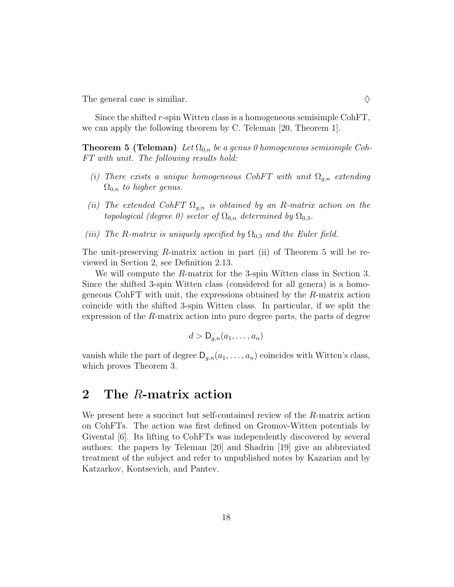The general case is similiar.  $\Diamond$ 

Since the shifted r-spin Witten class is a homogeneous semisimple CohFT, we can apply the following theorem by C. Teleman [20, Theorem 1].

**Theorem 5 (Teleman)** Let  $\Omega_{0,n}$  be a genus 0 homogeneous semisimple Coh-FT with unit. The following results hold:

- (i) There exists a unique homogeneous CohFT with unit  $\Omega_{q,n}$  extending  $\Omega_{0,n}$  to higher genus.
- (ii) The extended CohFT  $\Omega_{g,n}$  is obtained by an R-matrix action on the topological (degree 0) sector of  $\Omega_{0,n}$  determined by  $\Omega_{0,3}$ .
- (iii) The R-matrix is uniquely specified by  $\Omega_{0,3}$  and the Euler field.

The unit-preserving R-matrix action in part (ii) of Theorem 5 will be reviewed in Section 2, see Definition 2.13.

We will compute the R-matrix for the 3-spin Witten class in Section 3. Since the shifted 3-spin Witten class (considered for all genera) is a homogeneous CohFT with unit, the expressions obtained by the R-matrix action coincide with the shifted 3-spin Witten class. In particular, if we split the expression of the R-matrix action into pure degree parts, the parts of degree

$$
d > \mathsf{D}_{g,n}(a_1,\ldots,a_n)
$$

vanish while the part of degree  $D_{g,n}(a_1,\ldots,a_n)$  coincides with Witten's class, which proves Theorem 3.

## 2 The R-matrix action

We present here a succinct but self-contained review of the R-matrix action on CohFTs. The action was first defined on Gromov-Witten potentials by Givental [6]. Its lifting to CohFTs was independently discovered by several authors: the papers by Teleman [20] and Shadrin [19] give an abbreviated treatment of the subject and refer to unpublished notes by Kazarian and by Katzarkov, Kontsevich, and Pantev.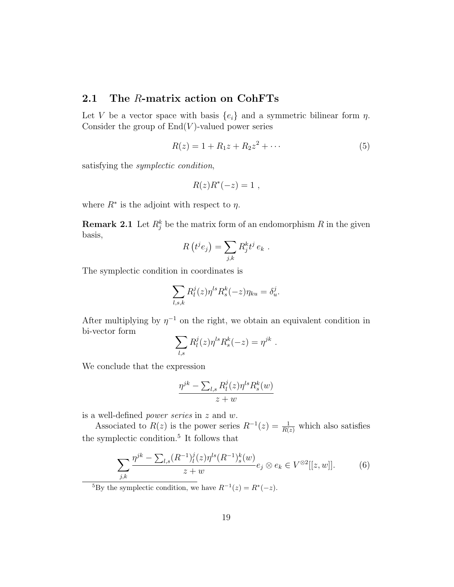## 2.1 The R-matrix action on CohFTs

Let V be a vector space with basis  $\{e_i\}$  and a symmetric bilinear form  $\eta$ . Consider the group of  $End(V)$ -valued power series

$$
R(z) = 1 + R_1 z + R_2 z^2 + \cdots
$$
 (5)

satisfying the symplectic condition,

$$
R(z)R^*(-z) = 1 ,
$$

where  $R^*$  is the adjoint with respect to  $\eta$ .

**Remark 2.1** Let  $R_j^k$  be the matrix form of an endomorphism R in the given basis,

$$
R(t^{j}e_{j})=\sum_{j,k}R_{j}^{k}t^{j}e_{k}.
$$

The symplectic condition in coordinates is

$$
\sum_{l,s,k} R_l^j(z) \eta^{ls} R_s^k(-z) \eta_{ku} = \delta_u^j.
$$

After multiplying by  $\eta^{-1}$  on the right, we obtain an equivalent condition in bi-vector form

$$
\sum_{l,s} R_l^j(z) \eta^{ls} R_s^k(-z) = \eta^{jk} .
$$

We conclude that the expression

$$
\frac{\eta^{jk} - \sum_{l,s} R_l^j(z)\eta^{ls} R_s^k(w)}{z+w}
$$

is a well-defined power series in z and w.

Associated to  $R(z)$  is the power series  $R^{-1}(z) = \frac{1}{R(z)}$  which also satisfies the symplectic condition.<sup>5</sup> It follows that

$$
\sum_{j,k} \frac{\eta^{jk} - \sum_{l,s} (R^{-1})_l^j(z) \eta^{ls} (R^{-1})_s^k(w)}{z+w} e_j \otimes e_k \in V^{\otimes 2}[[z,w]]. \tag{6}
$$

<sup>5</sup>By the symplectic condition, we have  $R^{-1}(z) = R^*(-z)$ .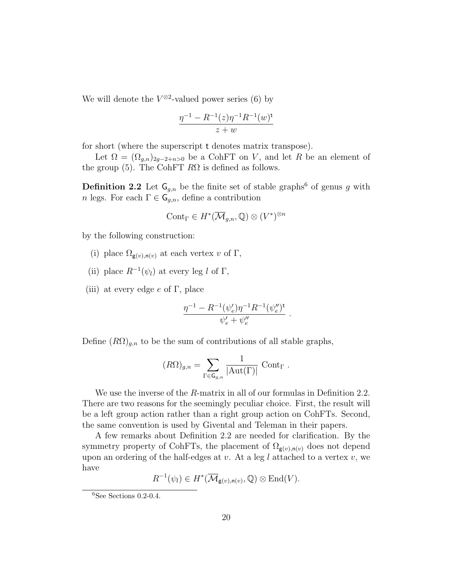We will denote the  $V^{\otimes 2}$ -valued power series (6) by

$$
\frac{\eta^{-1} - R^{-1}(z)\eta^{-1}R^{-1}(w)^t}{z+w}
$$

for short (where the superscript t denotes matrix transpose).

Let  $\Omega = (\Omega_{g,n})_{2g-2+n>0}$  be a CohFT on V, and let R be an element of the group (5). The CohFT  $R\Omega$  is defined as follows.

**Definition 2.2** Let  $\mathsf{G}_{g,n}$  be the finite set of stable graphs<sup>6</sup> of genus g with n legs. For each  $\Gamma \in \mathsf{G}_{q,n}$ , define a contribution

$$
\mathrm{Cont}_{\Gamma}\in H^*(\overline{\mathcal{M}}_{g,n},\mathbb{Q})\otimes (V^*)^{\otimes n}
$$

by the following construction:

- (i) place  $\Omega_{\mathbf{g}(v),\mathbf{n}(v)}$  at each vertex v of  $\Gamma$ ,
- (ii) place  $R^{-1}(\psi_l)$  at every leg l of  $\Gamma$ ,
- (iii) at every edge  $e$  of  $\Gamma$ , place

$$
\frac{\eta^{-1}-R^{-1}(\psi_e')\eta^{-1}R^{-1}(\psi_e'')^{\textrm{t}}}{\psi_e'+\psi_e''}\ .
$$

Define  $(R\Omega)_{g,n}$  to be the sum of contributions of all stable graphs,

$$
(R\Omega)_{g,n} = \sum_{\Gamma \in \mathsf{G}_{g,n}} \frac{1}{|\mathrm{Aut}(\Gamma)|} \ \mathrm{Cont}_\Gamma \ .
$$

We use the inverse of the R-matrix in all of our formulas in Definition 2.2. There are two reasons for the seemingly peculiar choice. First, the result will be a left group action rather than a right group action on CohFTs. Second, the same convention is used by Givental and Teleman in their papers.

A few remarks about Definition 2.2 are needed for clarification. By the symmetry property of CohFTs, the placement of  $\Omega_{\mathbf{g}(v),\mathbf{n}(v)}$  does not depend upon an ordering of the half-edges at  $v$ . At a leg  $l$  attached to a vertex  $v$ , we have

 $R^{-1}(\psi_l) \in H^*(\overline{\mathcal{M}}_{\mathsf{g}(v),\mathsf{n}(v)},\mathbb{Q}) \otimes \text{End}(V).$ 

 $6$ See Sections 0.2-0.4.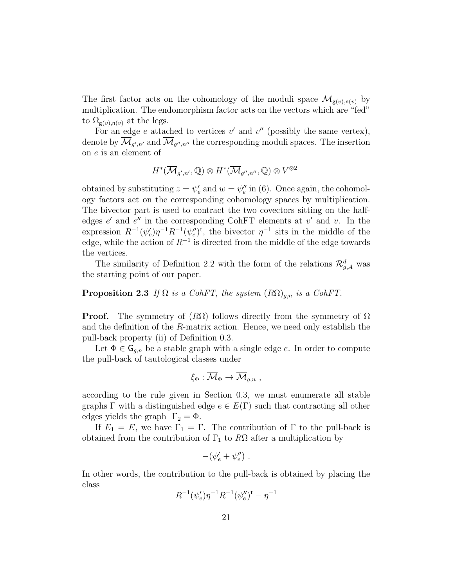The first factor acts on the cohomology of the moduli space  $\mathcal{M}_{g(v),n(v)}$  by multiplication. The endomorphism factor acts on the vectors which are "fed" to  $\Omega_{\mathbf{g}(v),\mathbf{n}(v)}$  at the legs.

For an edge e attached to vertices  $v'$  and  $v''$  (possibly the same vertex), denote by  $\mathcal{M}_{g',n'}$  and  $\mathcal{M}_{g'',n''}$  the corresponding moduli spaces. The insertion on e is an element of

$$
H^*(\overline{\mathcal{M}}_{g',n'},\mathbb{Q})\otimes H^*(\overline{\mathcal{M}}_{g'',n''},\mathbb{Q})\otimes V^{\otimes 2}
$$

obtained by substituting  $z = \psi'_e$  and  $w = \psi''_e$  in (6). Once again, the cohomology factors act on the corresponding cohomology spaces by multiplication. The bivector part is used to contract the two covectors sitting on the halfedges  $e'$  and  $e''$  in the corresponding CohFT elements at  $v'$  and  $v$ . In the expression  $R^{-1}(\psi_e')\eta^{-1}R^{-1}(\psi_e'')^{\dagger}$ , the bivector  $\eta^{-1}$  sits in the middle of the edge, while the action of  $R^{-1}$  is directed from the middle of the edge towards the vertices.

The similarity of Definition 2.2 with the form of the relations  $\mathcal{R}_{g,A}^d$  was the starting point of our paper.

### **Proposition 2.3** If  $\Omega$  is a CohFT, the system  $(R\Omega)_{q,n}$  is a CohFT.

**Proof.** The symmetry of  $(R\Omega)$  follows directly from the symmetry of  $\Omega$ and the definition of the R-matrix action. Hence, we need only establish the pull-back property (ii) of Definition 0.3.

Let  $\Phi \in \mathsf{G}_{q,n}$  be a stable graph with a single edge e. In order to compute the pull-back of tautological classes under

$$
\xi_\Phi : \overline{\mathcal{M}}_\Phi \to \overline{\mathcal{M}}_{g,n} \,\, , \quad
$$

according to the rule given in Section 0.3, we must enumerate all stable graphs  $\Gamma$  with a distinguished edge  $e \in E(\Gamma)$  such that contracting all other edges yields the graph  $\Gamma_2 = \Phi$ .

If  $E_1 = E$ , we have  $\Gamma_1 = \Gamma$ . The contribution of  $\Gamma$  to the pull-back is obtained from the contribution of  $\Gamma_1$  to  $R\Omega$  after a multiplication by

$$
-(\psi'_e+\psi''_e) \ .
$$

In other words, the contribution to the pull-back is obtained by placing the class

$$
R^{-1}(\psi'_e)\eta^{-1}R^{-1}(\psi''_e)^{\mathsf{t}} - \eta^{-1}
$$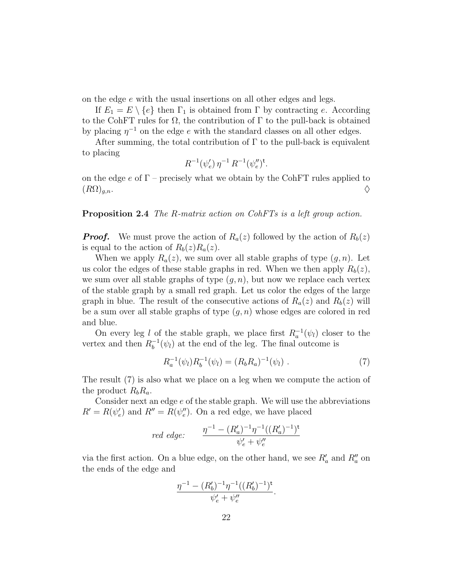on the edge e with the usual insertions on all other edges and legs.

If  $E_1 = E \setminus \{e\}$  then  $\Gamma_1$  is obtained from  $\Gamma$  by contracting e. According to the CohFT rules for  $\Omega$ , the contribution of  $\Gamma$  to the pull-back is obtained by placing  $\eta^{-1}$  on the edge e with the standard classes on all other edges.

After summing, the total contribution of  $\Gamma$  to the pull-back is equivalent to placing

$$
R^{-1}(\psi'_e)\,\eta^{-1}\,R^{-1}(\psi''_e)^{\rm t}.
$$

on the edge e of  $\Gamma$  – precisely what we obtain by the CohFT rules applied to  $(R\Omega)_{g,n}$ .

#### Proposition 2.4 The R-matrix action on CohFTs is a left group action.

**Proof.** We must prove the action of  $R_a(z)$  followed by the action of  $R_b(z)$ is equal to the action of  $R_b(z)R_a(z)$ .

When we apply  $R_a(z)$ , we sum over all stable graphs of type  $(g, n)$ . Let us color the edges of these stable graphs in red. When we then apply  $R_b(z)$ , we sum over all stable graphs of type  $(g, n)$ , but now we replace each vertex of the stable graph by a small red graph. Let us color the edges of the large graph in blue. The result of the consecutive actions of  $R_a(z)$  and  $R_b(z)$  will be a sum over all stable graphs of type  $(q, n)$  whose edges are colored in red and blue.

On every leg l of the stable graph, we place first  $R_a^{-1}(\psi_l)$  closer to the vertex and then  $R_h^{-1}$  $b^{-1}(\psi_l)$  at the end of the leg. The final outcome is

$$
R_a^{-1}(\psi_l)R_b^{-1}(\psi_l) = (R_b R_a)^{-1}(\psi_l) . \tag{7}
$$

The result (7) is also what we place on a leg when we compute the action of the product  $R_bR_a$ .

Consider next an edge e of the stable graph. We will use the abbreviations  $R' = R(\psi_e')$  and  $R'' = R(\psi_e'')$ . On a red edge, we have placed

$$
red\ edge: \qquad \frac{\eta^{-1} - (R_a')^{-1} \eta^{-1} ((R_a')^{-1})^{\mathsf{t}}}{\psi_e' + \psi_e''}
$$

via the first action. On a blue edge, on the other hand, we see  $R'_a$  and  $R''_a$  on the ends of the edge and

$$
\frac{\eta^{-1}-(R_b')^{-1}\eta^{-1}((R_b')^{-1})^{\mathsf t}}{\psi_e'+\psi_e''}.
$$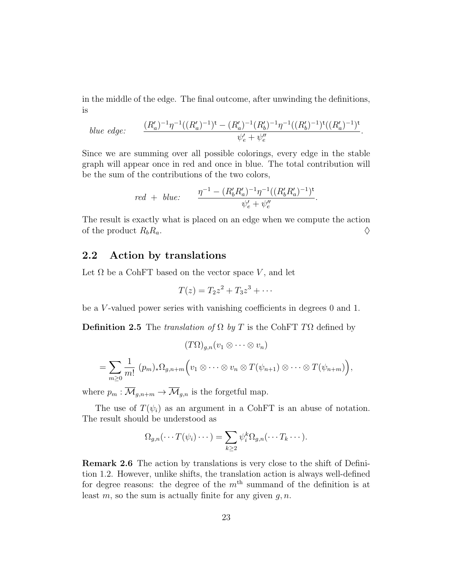in the middle of the edge. The final outcome, after unwinding the definitions, is

*blue edge:* 
$$
\frac{(R'_a)^{-1}\eta^{-1}((R'_a)^{-1})^{\mathsf{t}} - (R'_a)^{-1}(R'_b)^{-1}\eta^{-1}((R'_b)^{-1})^{\mathsf{t}}((R'_a)^{-1})^{\mathsf{t}}}{\psi'_e + \psi''_e}.
$$

Since we are summing over all possible colorings, every edge in the stable graph will appear once in red and once in blue. The total contribution will be the sum of the contributions of the two colors,

$$
red + blue: \qquad \frac{\eta^{-1} - (R_b'R_a')^{-1}\eta^{-1}((R_b'R_a')^{-1})^{\mathsf{t}}}{\psi_e' + \psi_e''}.
$$

The result is exactly what is placed on an edge when we compute the action of the product  $R_b R_a$ .

## 2.2 Action by translations

Let  $\Omega$  be a CohFT based on the vector space V, and let

$$
T(z) = T_2 z^2 + T_3 z^3 + \cdots
$$

be a V -valued power series with vanishing coefficients in degrees 0 and 1.

**Definition 2.5** The translation of  $\Omega$  by T is the CohFT T $\Omega$  defined by

$$
(T\Omega)_{g,n}(v_1 \otimes \cdots \otimes v_n)
$$
  
=  $\sum_{m\geq 0} \frac{1}{m!} (p_m)_* \Omega_{g,n+m} (v_1 \otimes \cdots \otimes v_n \otimes T(\psi_{n+1}) \otimes \cdots \otimes T(\psi_{n+m})),$ 

where  $p_m : \overline{\mathcal{M}}_{g,n+m} \to \overline{\mathcal{M}}_{g,n}$  is the forgetful map.

The use of  $T(\psi_i)$  as an argument in a CohFT is an abuse of notation. The result should be understood as

$$
\Omega_{g,n}(\cdots T(\psi_i)\cdots)=\sum_{k\geq 2}\psi_i^k\Omega_{g,n}(\cdots T_k\cdots).
$$

Remark 2.6 The action by translations is very close to the shift of Definition 1.2. However, unlike shifts, the translation action is always well-defined for degree reasons: the degree of the  $m<sup>th</sup>$  summand of the definition is at least m, so the sum is actually finite for any given  $q, n$ .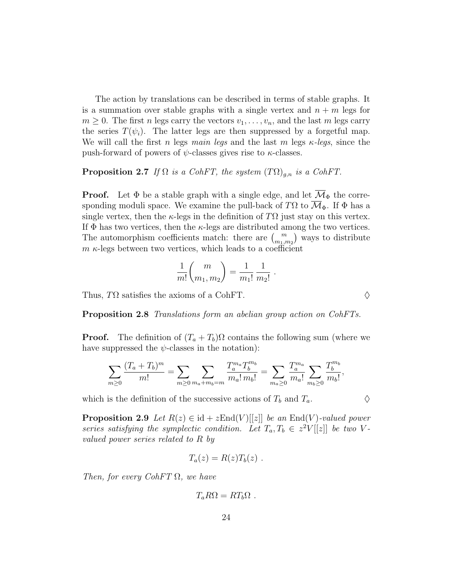The action by translations can be described in terms of stable graphs. It is a summation over stable graphs with a single vertex and  $n + m$  legs for  $m \geq 0$ . The first *n* legs carry the vectors  $v_1, \ldots, v_n$ , and the last *m* legs carry the series  $T(\psi_i)$ . The latter legs are then suppressed by a forgetful map. We will call the first n legs main legs and the last m legs  $\kappa$ -legs, since the push-forward of powers of  $\psi$ -classes gives rise to  $\kappa$ -classes.

#### **Proposition 2.7** If  $\Omega$  is a CohFT, the system  $(T\Omega)_{q,n}$  is a CohFT.

**Proof.** Let  $\Phi$  be a stable graph with a single edge, and let  $\overline{\mathcal{M}}_{\Phi}$  the corresponding moduli space. We examine the pull-back of TΩ to  $\overline{\mathcal{M}}_{\Phi}$ . If  $\Phi$  has a single vertex, then the  $\kappa$ -legs in the definition of  $T\Omega$  just stay on this vertex. If  $\Phi$  has two vertices, then the  $\kappa$ -legs are distributed among the two vertices. The automorphism coefficients match: there are  $\binom{m}{m_1,m_2}$  ways to distribute  $m \kappa$ -legs between two vertices, which leads to a coefficient

$$
\frac{1}{m!} \binom{m}{m_1, m_2} = \frac{1}{m_1!} \frac{1}{m_2!}
$$

.

Thus,  $T\Omega$  satisfies the axioms of a CohFT.

Proposition 2.8 Translations form an abelian group action on CohFTs.

**Proof.** The definition of  $(T_a + T_b)\Omega$  contains the following sum (where we have suppressed the  $\psi$ -classes in the notation):

$$
\sum_{m\geq 0} \frac{(T_a+T_b)^m}{m!} = \sum_{m\geq 0} \sum_{m_a+m_b=m} \frac{T_a^{m_a} T_b^{m_b}}{m_a! m_b!} = \sum_{m_a\geq 0} \frac{T_a^{m_a}}{m_a!} \sum_{m_b\geq 0} \frac{T_b^{m_b}}{m_b!},
$$

which is the definition of the successive actions of  $T_b$  and  $T_a$ .

**Proposition 2.9** Let  $R(z) \in id + zEnd(V)[[z]]$  be an End(V)-valued power series satisfying the symplectic condition. Let  $T_a, T_b \in z^2V[[z]]$  be two Vvalued power series related to R by

$$
T_a(z) = R(z)T_b(z) .
$$

Then, for every  $CohFT \Omega$ , we have

$$
T_a R\Omega = RT_b\Omega .
$$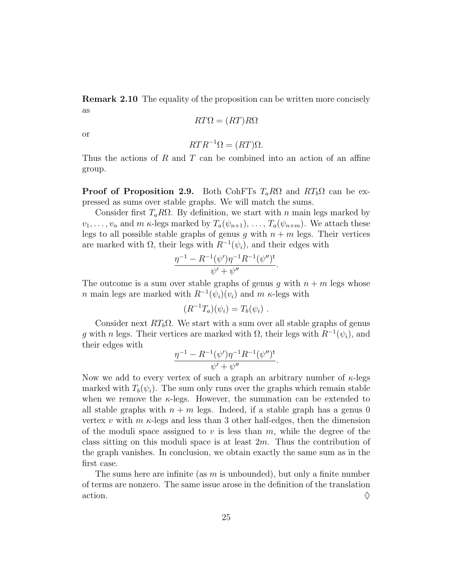Remark 2.10 The equality of the proposition can be written more concisely as

$$
RT\Omega = (RT)R\Omega
$$

or

$$
RTR^{-1}\Omega = (RT)\Omega.
$$

Thus the actions of R and T can be combined into an action of an affine group.

**Proof of Proposition 2.9.** Both CohFTs  $T_a R\Omega$  and  $RT_b \Omega$  can be expressed as sums over stable graphs. We will match the sums.

Consider first  $T_a R\Omega$ . By definition, we start with n main legs marked by  $v_1, \ldots, v_n$  and m  $\kappa$ -legs marked by  $T_a(\psi_{n+1}), \ldots, T_a(\psi_{n+m})$ . We attach these legs to all possible stable graphs of genus g with  $n + m$  legs. Their vertices are marked with  $\Omega$ , their legs with  $R^{-1}(\psi_i)$ , and their edges with

$$
\frac{\eta^{-1} - R^{-1}(\psi')\eta^{-1}R^{-1}(\psi'')^{\mathsf{t}}}{\psi' + \psi''}.
$$

The outcome is a sum over stable graphs of genus g with  $n + m$  legs whose n main legs are marked with  $R^{-1}(\psi_i)(v_i)$  and  $m$   $\kappa$ -legs with

$$
(R^{-1}T_a)(\psi_i)=T_b(\psi_i) .
$$

Consider next  $RT_b\Omega$ . We start with a sum over all stable graphs of genus g with n legs. Their vertices are marked with  $\Omega$ , their legs with  $R^{-1}(\psi_i)$ , and their edges with

$$
\frac{\eta^{-1} - R^{-1}(\psi')\eta^{-1}R^{-1}(\psi'')^{\mathsf{t}}}{\psi' + \psi''}.
$$

Now we add to every vertex of such a graph an arbitrary number of  $\kappa$ -legs marked with  $T_b(\psi_i)$ . The sum only runs over the graphs which remain stable when we remove the  $\kappa$ -legs. However, the summation can be extended to all stable graphs with  $n + m$  legs. Indeed, if a stable graph has a genus 0 vertex v with  $m \kappa$ -legs and less than 3 other half-edges, then the dimension of the moduli space assigned to v is less than  $m$ , while the degree of the class sitting on this moduli space is at least  $2m$ . Thus the contribution of the graph vanishes. In conclusion, we obtain exactly the same sum as in the first case.

The sums here are infinite (as  $m$  is unbounded), but only a finite number of terms are nonzero. The same issue arose in the definition of the translation action.  $\Diamond$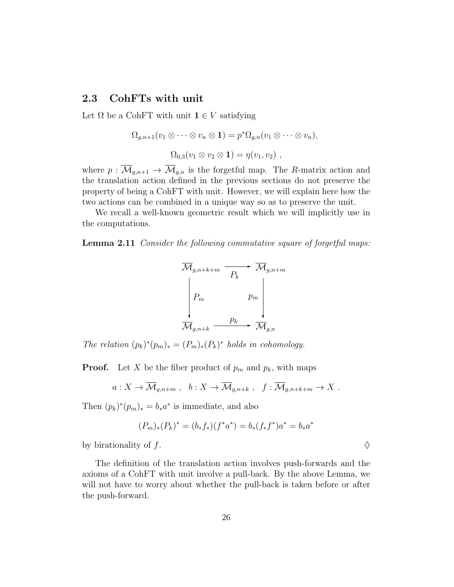## 2.3 CohFTs with unit

Let  $\Omega$  be a CohFT with unit  $\mathbf{1} \in V$  satisfying

$$
\Omega_{g,n+1}(v_1 \otimes \cdots \otimes v_n \otimes \mathbf{1}) = p^* \Omega_{g,n}(v_1 \otimes \cdots \otimes v_n),
$$
  

$$
\Omega_{0,3}(v_1 \otimes v_2 \otimes \mathbf{1}) = \eta(v_1, v_2),
$$

where  $p : \overline{\mathcal{M}}_{g,n+1} \to \overline{\mathcal{M}}_{g,n}$  is the forgetful map. The R-matrix action and the translation action defined in the previous sections do not preserve the property of being a CohFT with unit. However, we will explain here how the two actions can be combined in a unique way so as to preserve the unit.

We recall a well-known geometric result which we will implicitly use in the computations.

**Lemma 2.11** Consider the following commutative square of forgetful maps:



The relation  $(p_k)^*(p_m)_* = (P_m)_*(P_k)^*$  holds in cohomology.

**Proof.** Let X be the fiber product of  $p_m$  and  $p_k$ , with maps

$$
a: X \to \overline{\mathcal{M}}_{g,n+m}
$$
,  $b: X \to \overline{\mathcal{M}}_{g,n+k}$ ,  $f: \overline{\mathcal{M}}_{g,n+k+m} \to X$ .

Then  $(p_k)^*(p_m)_* = b_*a^*$  is immediate, and also

$$
(P_m)_*(P_k)^* = (b_*f_*)(f^*a^*) = b_*(f_*f^*)a^* = b_*a^*
$$

by birationality of f.  $\Diamond$ 

The definition of the translation action involves push-forwards and the axioms of a CohFT with unit involve a pull-back. By the above Lemma, we will not have to worry about whether the pull-back is taken before or after the push-forward.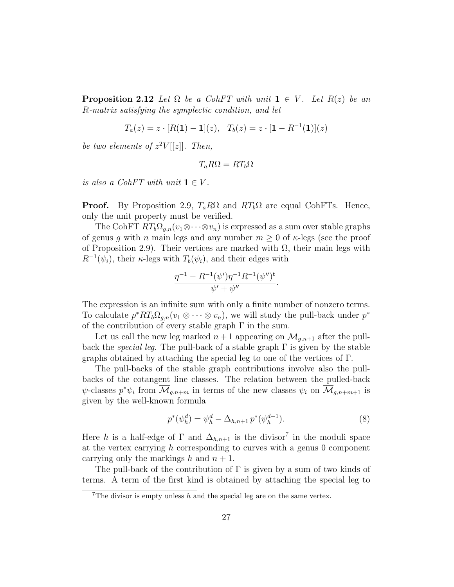**Proposition 2.12** Let  $\Omega$  be a CohFT with unit  $1 \in V$ . Let  $R(z)$  be an R-matrix satisfying the symplectic condition, and let

$$
T_a(z) = z \cdot [R(1) - 1](z), \quad T_b(z) = z \cdot [1 - R^{-1}(1)](z)
$$

be two elements of  $z^2V[[z]]$ . Then,

$$
T_a R\Omega = RT_b \Omega
$$

is also a CohFT with unit  $1 \in V$ .

**Proof.** By Proposition 2.9,  $T_a R\Omega$  and  $RT_b\Omega$  are equal CohFTs. Hence, only the unit property must be verified.

The CohFT  $RT_b\Omega_{g,n}(v_1\otimes\cdots\otimes v_n)$  is expressed as a sum over stable graphs of genus g with n main legs and any number  $m \geq 0$  of  $\kappa$ -legs (see the proof of Proposition 2.9). Their vertices are marked with  $\Omega$ , their main legs with  $R^{-1}(\psi_i)$ , their  $\kappa$ -legs with  $T_b(\psi_i)$ , and their edges with

$$
\frac{\eta^{-1} - R^{-1}(\psi')\eta^{-1}R^{-1}(\psi'')^{\mathsf{t}}}{\psi' + \psi''}.
$$

The expression is an infinite sum with only a finite number of nonzero terms. To calculate  $p^*RT_b\Omega_{g,n}(v_1\otimes\cdots\otimes v_n)$ , we will study the pull-back under  $p^*$ of the contribution of every stable graph  $\Gamma$  in the sum.

Let us call the new leg marked  $n+1$  appearing on  $\mathcal{M}_{q,n+1}$  after the pullback the *special leg*. The pull-back of a stable graph  $\Gamma$  is given by the stable graphs obtained by attaching the special leg to one of the vertices of Γ.

The pull-backs of the stable graph contributions involve also the pullbacks of the cotangent line classes. The relation between the pulled-back  $\psi$ -classes  $p^*\psi_i$  from  $\overline{\mathcal{M}}_{g,n+m}$  in terms of the new classes  $\psi_i$  on  $\overline{\mathcal{M}}_{g,n+m+1}$  is given by the well-known formula

$$
p^*(\psi_h^d) = \psi_h^d - \Delta_{h,n+1} p^*(\psi_h^{d-1}).
$$
\n(8)

Here h is a half-edge of  $\Gamma$  and  $\Delta_{h,n+1}$  is the divisor<sup>7</sup> in the moduli space at the vertex carrying  $h$  corresponding to curves with a genus  $0$  component carrying only the markings h and  $n + 1$ .

The pull-back of the contribution of  $\Gamma$  is given by a sum of two kinds of terms. A term of the first kind is obtained by attaching the special leg to

<sup>&</sup>lt;sup>7</sup>The divisor is empty unless  $h$  and the special leg are on the same vertex.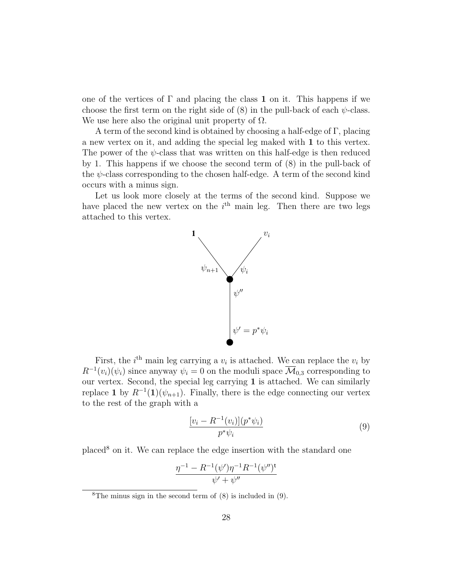one of the vertices of  $\Gamma$  and placing the class 1 on it. This happens if we choose the first term on the right side of  $(8)$  in the pull-back of each  $\psi$ -class. We use here also the original unit property of  $\Omega$ .

A term of the second kind is obtained by choosing a half-edge of Γ, placing a new vertex on it, and adding the special leg maked with 1 to this vertex. The power of the  $\psi$ -class that was written on this half-edge is then reduced by 1. This happens if we choose the second term of (8) in the pull-back of the  $\psi$ -class corresponding to the chosen half-edge. A term of the second kind occurs with a minus sign.

Let us look more closely at the terms of the second kind. Suppose we have placed the new vertex on the  $i<sup>th</sup>$  main leg. Then there are two legs attached to this vertex.



First, the  $i^{\text{th}}$  main leg carrying a  $v_i$  is attached. We can replace the  $v_i$  by  $R^{-1}(v_i)(\psi_i)$  since anyway  $\psi_i = 0$  on the moduli space  $\overline{\mathcal{M}}_{0,3}$  corresponding to our vertex. Second, the special leg carrying 1 is attached. We can similarly replace 1 by  $R^{-1}(1)(\psi_{n+1})$ . Finally, there is the edge connecting our vertex to the rest of the graph with a

$$
\frac{[v_i - R^{-1}(v_i)](p^*\psi_i)}{p^*\psi_i} \tag{9}
$$

 $p$ laced<sup>8</sup> on it. We can replace the edge insertion with the standard one

$$
\frac{\eta^{-1} - R^{-1}(\psi')\eta^{-1}R^{-1}(\psi'')^{\mathsf{t}}}{\psi' + \psi''}
$$

<sup>&</sup>lt;sup>8</sup>The minus sign in the second term of  $(8)$  is included in  $(9)$ .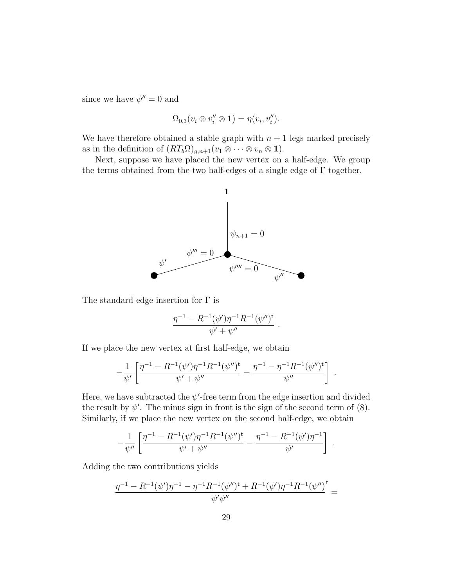since we have  $\psi'' = 0$  and

$$
\Omega_{0,3}(v_i\otimes v_i''\otimes 1)=\eta(v_i,v_i'').
$$

We have therefore obtained a stable graph with  $n + 1$  legs marked precisely as in the definition of  $(RT_b\Omega)_{g,n+1}(v_1 \otimes \cdots \otimes v_n \otimes \mathbf{1}).$ 

Next, suppose we have placed the new vertex on a half-edge. We group the terms obtained from the two half-edges of a single edge of  $\Gamma$  together.



The standard edge insertion for  $\Gamma$  is

$$
\frac{\eta^{-1} - R^{-1}(\psi')\eta^{-1}R^{-1}(\psi'')^{\mathsf{t}}}{\psi' + \psi''}.
$$

If we place the new vertex at first half-edge, we obtain

$$
-\frac{1}{\psi'}\left[\frac{\eta^{-1}-R^{-1}(\psi')\eta^{-1}R^{-1}(\psi'')^{\mathsf{t}}}{\psi'+\psi''}-\frac{\eta^{-1}-\eta^{-1}R^{-1}(\psi'')^{\mathsf{t}}}{\psi''}\right].
$$

Here, we have subtracted the  $\psi'$ -free term from the edge insertion and divided the result by  $\psi'$ . The minus sign in front is the sign of the second term of (8). Similarly, if we place the new vertex on the second half-edge, we obtain

$$
-\frac{1}{\psi''}\left[\frac{\eta^{-1}-R^{-1}(\psi')\eta^{-1}R^{-1}(\psi'')^{\dagger}}{\psi'+\psi''}-\frac{\eta^{-1}-R^{-1}(\psi')\eta^{-1}}{\psi'}\right].
$$

Adding the two contributions yields

$$
\frac{\eta^{-1}-R^{-1}(\psi')\eta^{-1}-\eta^{-1}R^{-1}(\psi'')^{\textrm{t}}+R^{-1}(\psi')\eta^{-1}R^{-1}(\psi'')}{\psi'\psi''}=
$$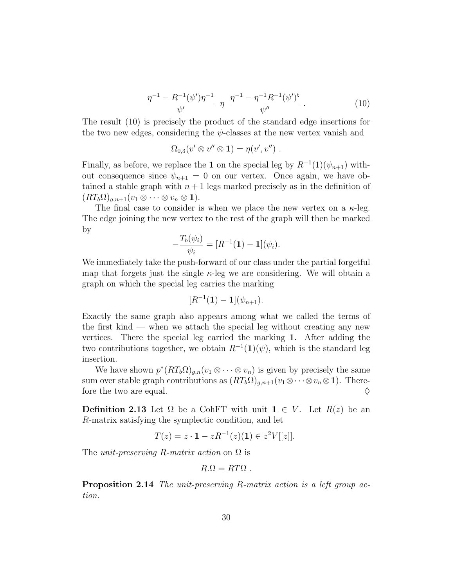$$
\frac{\eta^{-1} - R^{-1}(\psi')\eta^{-1}}{\psi'} \eta \frac{\eta^{-1} - \eta^{-1}R^{-1}(\psi')^{\mathsf{t}}}{\psi''} \,. \tag{10}
$$

The result (10) is precisely the product of the standard edge insertions for the two new edges, considering the  $\psi$ -classes at the new vertex vanish and

$$
\Omega_{0,3}(v' \otimes v'' \otimes \mathbf{1}) = \eta(v',v'')
$$
.

Finally, as before, we replace the 1 on the special leg by  $R^{-1}(1)(\psi_{n+1})$  without consequence since  $\psi_{n+1} = 0$  on our vertex. Once again, we have obtained a stable graph with  $n+1$  legs marked precisely as in the definition of  $(RT_b\Omega)_{q,n+1}(v_1\otimes\cdots\otimes v_n\otimes\mathbf{1}).$ 

The final case to consider is when we place the new vertex on a  $\kappa$ -leg. The edge joining the new vertex to the rest of the graph will then be marked by

$$
-\frac{T_b(\psi_i)}{\psi_i} = [R^{-1}(\mathbf{1}) - \mathbf{1}](\psi_i).
$$

We immediately take the push-forward of our class under the partial forgetful map that forgets just the single  $\kappa$ -leg we are considering. We will obtain a graph on which the special leg carries the marking

$$
[R^{-1}(\mathbf{1})-\mathbf{1}](\psi_{n+1}).
$$

Exactly the same graph also appears among what we called the terms of the first kind — when we attach the special leg without creating any new vertices. There the special leg carried the marking 1. After adding the two contributions together, we obtain  $R^{-1}(1)(\psi)$ , which is the standard leg insertion.

We have shown  $p^*(RT_b\Omega)_{g,n}(v_1\otimes\cdots\otimes v_n)$  is given by precisely the same sum over stable graph contributions as  $(RT_b\Omega)_{g,n+1}(v_1\otimes\cdots\otimes v_n\otimes\mathbf{1})$ . Therefore the two are equal.  $\Diamond$ 

Definition 2.13 Let  $\Omega$  be a CohFT with unit  $1 \in V$ . Let  $R(z)$  be an R-matrix satisfying the symplectic condition, and let

$$
T(z) = z \cdot \mathbf{1} - zR^{-1}(z)(\mathbf{1}) \in z^2 V[[z]].
$$

The *unit-preserving R-matrix action* on  $\Omega$  is

$$
R.\Omega = RT\Omega .
$$

Proposition 2.14 The unit-preserving R-matrix action is a left group action.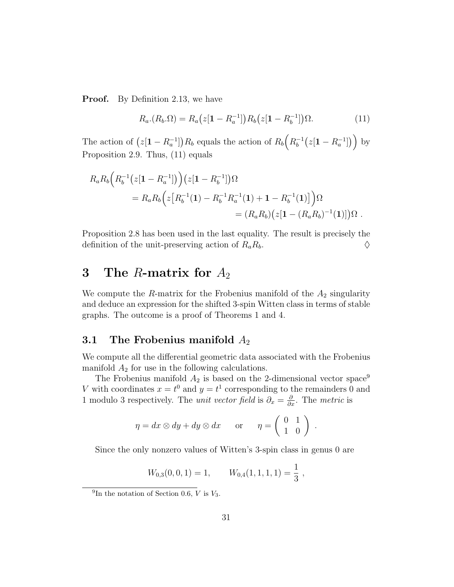**Proof.** By Definition 2.13, we have

$$
R_a \cdot (R_b \cdot \Omega) = R_a \left( z[1 - R_a^{-1}]\right) R_b \left( z[1 - R_b^{-1}]\right) \Omega. \tag{11}
$$

The action of  $(z[1 - R_a^{-1}])R_b$  equals the action of  $R_b(R_b^{-1})$  $b^{-1}(z[1 - R_a^{-1}])$  by Proposition 2.9. Thus, (11) equals

$$
R_a R_b \Big( R_b^{-1} (z[1 - R_a^{-1}]) \Big) (z[1 - R_b^{-1}]) \Omega
$$
  
= 
$$
R_a R_b \Big( z [R_b^{-1} (1) - R_b^{-1} R_a^{-1} (1) + 1 - R_b^{-1} (1)] \Big) \Omega
$$
  
= 
$$
(R_a R_b) (z[1 - (R_a R_b)^{-1} (1)]) \Omega.
$$

Proposition 2.8 has been used in the last equality. The result is precisely the definition of the unit-preserving action of  $R_a R_b$ .

## 3 The R-matrix for  $A_2$

We compute the R-matrix for the Frobenius manifold of the  $A_2$  singularity and deduce an expression for the shifted 3-spin Witten class in terms of stable graphs. The outcome is a proof of Theorems 1 and 4.

## 3.1 The Frobenius manifold  $A_2$

We compute all the differential geometric data associated with the Frobenius manifold  $A_2$  for use in the following calculations.

The Frobenius manifold  $A_2$  is based on the 2-dimensional vector space<sup>9</sup> V with coordinates  $x = t^0$  and  $y = t^1$  corresponding to the remainders 0 and 1 modulo 3 respectively. The *unit vector field* is  $\partial_x = \frac{\partial}{\partial x}$ . The *metric* is

$$
\eta = dx \otimes dy + dy \otimes dx \quad \text{or} \quad \eta = \begin{pmatrix} 0 & 1 \\ 1 & 0 \end{pmatrix} .
$$

Since the only nonzero values of Witten's 3-spin class in genus 0 are

$$
W_{0,3}(0,0,1) = 1, \qquad W_{0,4}(1,1,1,1) = \frac{1}{3},
$$

<sup>&</sup>lt;sup>9</sup>In the notation of Section 0.6, *V* is  $V_3$ .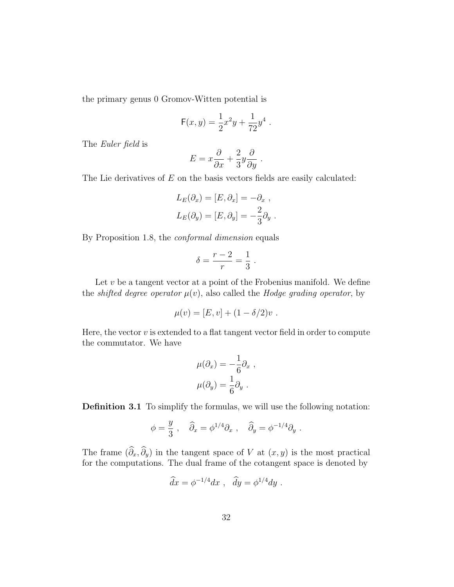the primary genus 0 Gromov-Witten potential is

$$
F(x,y) = \frac{1}{2}x^2y + \frac{1}{72}y^4.
$$

The Euler field is

$$
E = x \frac{\partial}{\partial x} + \frac{2}{3} y \frac{\partial}{\partial y}.
$$

The Lie derivatives of  $E$  on the basis vectors fields are easily calculated:

$$
L_E(\partial_x) = [E, \partial_x] = -\partial_x ,
$$
  

$$
L_E(\partial_y) = [E, \partial_y] = -\frac{2}{3}\partial_y .
$$

By Proposition 1.8, the conformal dimension equals

$$
\delta = \frac{r-2}{r} = \frac{1}{3} .
$$

Let  $v$  be a tangent vector at a point of the Frobenius manifold. We define the *shifted degree operator*  $\mu(v)$ , also called the *Hodge grading operator*, by

$$
\mu(v) = [E, v] + (1 - \delta/2)v \; .
$$

Here, the vector  $v$  is extended to a flat tangent vector field in order to compute the commutator. We have

$$
\mu(\partial_x) = -\frac{1}{6}\partial_x ,
$$

$$
\mu(\partial_y) = \frac{1}{6}\partial_y .
$$

Definition 3.1 To simplify the formulas, we will use the following notation:

$$
\phi = \frac{y}{3} , \quad \widehat{\partial}_x = \phi^{1/4} \partial_x , \quad \widehat{\partial}_y = \phi^{-1/4} \partial_y .
$$

The frame  $(\widehat{\partial}_x, \widehat{\partial}_y)$  in the tangent space of V at  $(x, y)$  is the most practical for the computations. The dual frame of the cotangent space is denoted by

$$
\widehat{dx} = \phi^{-1/4} dx \ , \ \ \widehat{dy} = \phi^{1/4} dy \ .
$$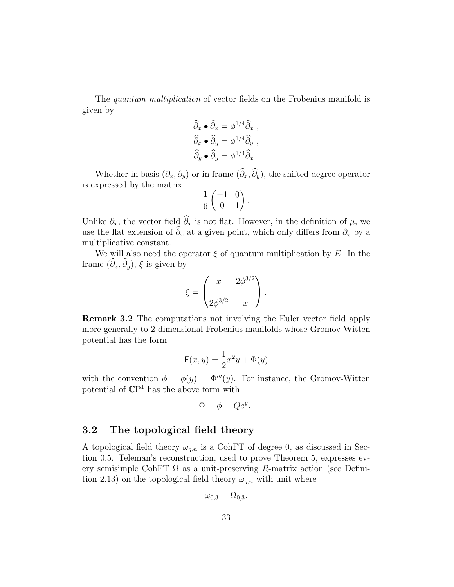The quantum multiplication of vector fields on the Frobenius manifold is given by

$$
\widehat{\partial}_x \bullet \widehat{\partial}_x = \phi^{1/4} \widehat{\partial}_x ,
$$
  

$$
\widehat{\partial}_x \bullet \widehat{\partial}_y = \phi^{1/4} \widehat{\partial}_y ,
$$
  

$$
\widehat{\partial}_y \bullet \widehat{\partial}_y = \phi^{1/4} \widehat{\partial}_x .
$$

Whether in basis  $(\partial_x, \partial_y)$  or in frame  $(\widehat{\partial}_x, \widehat{\partial}_y)$ , the shifted degree operator is expressed by the matrix

$$
\frac{1}{6} \begin{pmatrix} -1 & 0 \\ 0 & 1 \end{pmatrix}.
$$

Unlike  $\partial_x$ , the vector field  $\widehat{\partial}_x$  is not flat. However, in the definition of  $\mu$ , we use the flat extension of  $\widehat{\partial}_x$  at a given point, which only differs from  $\partial_x$  by a multiplicative constant.

We will also need the operator  $\xi$  of quantum multiplication by E. In the frame  $(\widehat{\partial}_x, \widehat{\partial}_y), \xi$  is given by

$$
\xi = \begin{pmatrix} x & 2\phi^{3/2} \\ 2\phi^{3/2} & x \end{pmatrix}.
$$

Remark 3.2 The computations not involving the Euler vector field apply more generally to 2-dimensional Frobenius manifolds whose Gromov-Witten potential has the form

$$
\mathsf{F}(x,y) = \frac{1}{2}x^2y + \Phi(y)
$$

with the convention  $\phi = \phi(y) = \Phi'''(y)$ . For instance, the Gromov-Witten potential of  $\mathbb{C}P^1$  has the above form with

$$
\Phi = \phi = Qe^y.
$$

## 3.2 The topological field theory

A topological field theory  $\omega_{g,n}$  is a CohFT of degree 0, as discussed in Section 0.5. Teleman's reconstruction, used to prove Theorem 5, expresses every semisimple CohFT  $\Omega$  as a unit-preserving R-matrix action (see Definition 2.13) on the topological field theory  $\omega_{g,n}$  with unit where

$$
\omega_{0,3} = \Omega_{0,3}.
$$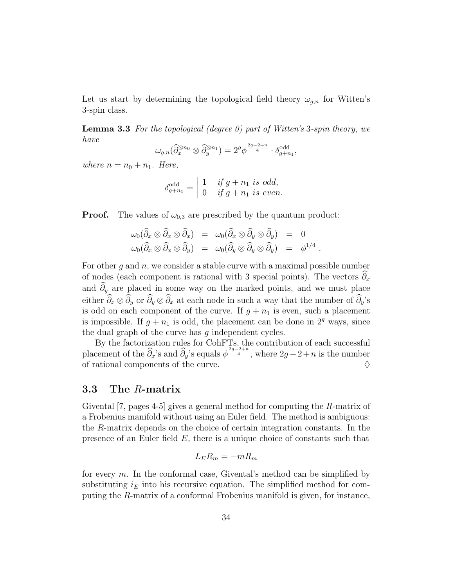Let us start by determining the topological field theory  $\omega_{g,n}$  for Witten's 3-spin class.

**Lemma 3.3** For the topological (degree 0) part of Witten's 3-spin theory, we have

$$
\omega_{g,n}(\widehat\partial_x^{\otimes n_0}\otimes \widehat\partial_y^{\otimes n_1})=2^g\phi^{\frac{2g-2+n}{4}}\cdot \delta_{g+n_1}^{\mathrm{odd}},
$$

where  $n = n_0 + n_1$ . Here,

$$
\delta_{g+n_1}^{\text{odd}} = \begin{vmatrix} 1 & \text{if } g+n_1 \text{ is odd,} \\ 0 & \text{if } g+n_1 \text{ is even.} \end{vmatrix}
$$

**Proof.** The values of  $\omega_{0,3}$  are prescribed by the quantum product:

$$
\omega_0(\widehat{\partial}_x \otimes \widehat{\partial}_x \otimes \widehat{\partial}_x) = \omega_0(\widehat{\partial}_x \otimes \widehat{\partial}_y \otimes \widehat{\partial}_y) = 0
$$
  

$$
\omega_0(\widehat{\partial}_x \otimes \widehat{\partial}_x \otimes \widehat{\partial}_y) = \omega_0(\widehat{\partial}_y \otimes \widehat{\partial}_y \otimes \widehat{\partial}_y) = \phi^{1/4}
$$

.

For other q and  $n$ , we consider a stable curve with a maximal possible number of nodes (each component is rational with 3 special points). The vectors  $\partial_x$ and  $\hat{\partial}_y$  are placed in some way on the marked points, and we must place either  $\widehat{\partial}_x \otimes \widehat{\partial}_y$  or  $\widehat{\partial}_y \otimes \widehat{\partial}_x$  at each node in such a way that the number of  $\widehat{\partial}_y$ 's is odd on each component of the curve. If  $g + n_1$  is even, such a placement is impossible. If  $g + n_1$  is odd, the placement can be done in  $2^g$  ways, since the dual graph of the curve has g independent cycles.

By the factorization rules for CohFTs, the contribution of each successful placement of the  $\widehat{\partial}_x$ 's and  $\widehat{\partial}_y$ 's equals  $\phi^{\frac{2g-2+n}{4}}$ , where  $2g-2+n$  is the number of rational components of the curve.  $\Diamond$ 

## 3.3 The R-matrix

Givental [7, pages 4-5] gives a general method for computing the R-matrix of a Frobenius manifold without using an Euler field. The method is ambiguous: the R-matrix depends on the choice of certain integration constants. In the presence of an Euler field  $E$ , there is a unique choice of constants such that

$$
L_E R_m = -mR_m
$$

for every  $m$ . In the conformal case, Givental's method can be simplified by substituting  $i_E$  into his recursive equation. The simplified method for computing the R-matrix of a conformal Frobenius manifold is given, for instance,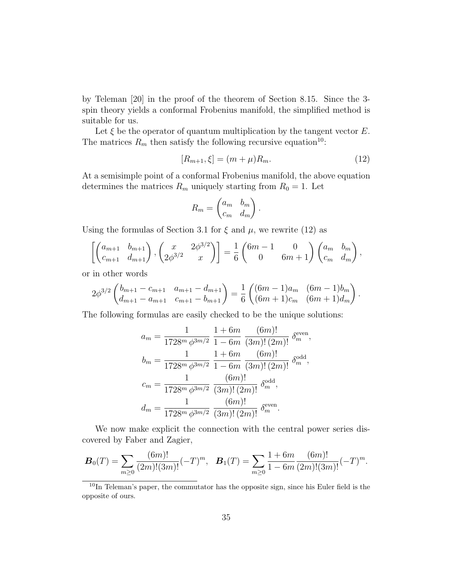by Teleman [20] in the proof of the theorem of Section 8.15. Since the 3 spin theory yields a conformal Frobenius manifold, the simplified method is suitable for us.

Let  $\xi$  be the operator of quantum multiplication by the tangent vector  $E$ . The matrices  $R_m$  then satisfy the following recursive equation<sup>10</sup>:

$$
[R_{m+1}, \xi] = (m+\mu)R_m. \tag{12}
$$

At a semisimple point of a conformal Frobenius manifold, the above equation determines the matrices  $R_m$  uniquely starting from  $R_0 = 1$ . Let

$$
R_m = \begin{pmatrix} a_m & b_m \\ c_m & d_m \end{pmatrix}.
$$

Using the formulas of Section 3.1 for  $\xi$  and  $\mu$ , we rewrite (12) as

$$
\left[ \begin{pmatrix} a_{m+1} & b_{m+1} \\ c_{m+1} & d_{m+1} \end{pmatrix}, \begin{pmatrix} x & 2\phi^{3/2} \\ 2\phi^{3/2} & x \end{pmatrix} \right] = \frac{1}{6} \begin{pmatrix} 6m-1 & 0 \\ 0 & 6m+1 \end{pmatrix} \begin{pmatrix} a_m & b_m \\ c_m & d_m \end{pmatrix},
$$

or in other words

$$
2\phi^{3/2}\begin{pmatrix}b_{m+1}-c_{m+1} & a_{m+1}-d_{m+1}\ a_{m+1}-d_{m+1}\end{pmatrix} = \frac{1}{6}\begin{pmatrix}(6m-1)a_m & (6m-1)b_m\ (6m+1)c_m & (6m+1)d_m\end{pmatrix}.
$$

The following formulas are easily checked to be the unique solutions:

$$
a_m = \frac{1}{1728^m \phi^{3m/2}} \frac{1+6m}{1-6m} \frac{(6m)!}{(3m)!(2m)!} \delta_m^{\text{even}},
$$
  
\n
$$
b_m = \frac{1}{1728^m \phi^{3m/2}} \frac{1+6m}{1-6m} \frac{(6m)!}{(3m)!(2m)!} \delta_m^{\text{odd}},
$$
  
\n
$$
c_m = \frac{1}{1728^m \phi^{3m/2}} \frac{(6m)!}{(3m)!(2m)!} \delta_m^{\text{odd}},
$$
  
\n
$$
d_m = \frac{1}{1728^m \phi^{3m/2}} \frac{(6m)!}{(3m)!(2m)!} \delta_m^{\text{even}}.
$$

We now make explicit the connection with the central power series discovered by Faber and Zagier,

$$
\boldsymbol{B}_0(T) = \sum_{m \geq 0} \frac{(6m)!}{(2m)!(3m)!} (-T)^m, \quad \boldsymbol{B}_1(T) = \sum_{m \geq 0} \frac{1+6m}{1-6m} \frac{(6m)!}{(2m)!(3m)!} (-T)^m.
$$

<sup>&</sup>lt;sup>10</sup>In Teleman's paper, the commutator has the opposite sign, since his Euler field is the opposite of ours.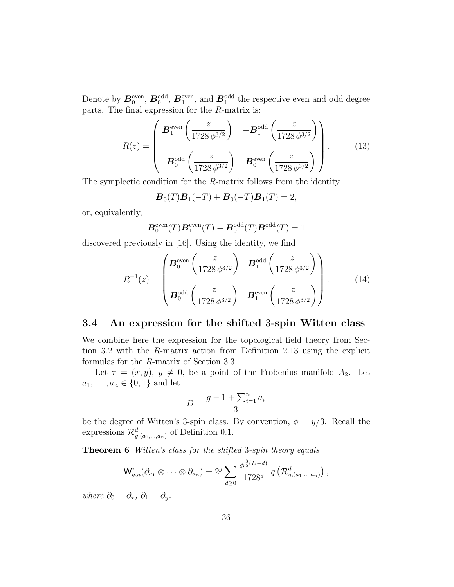Denote by  $B_0^{\text{even}}, B_0^{\text{odd}}, B_1^{\text{even}}, \text{ and } B_1^{\text{odd}}$  the respective even and odd degree parts. The final expression for the R-matrix is:

$$
R(z) = \begin{pmatrix} \mathbf{B}_1^{\text{even}} \left( \frac{z}{1728 \phi^{3/2}} \right) & -\mathbf{B}_1^{\text{odd}} \left( \frac{z}{1728 \phi^{3/2}} \right) \\ -\mathbf{B}_0^{\text{odd}} \left( \frac{z}{1728 \phi^{3/2}} \right) & \mathbf{B}_0^{\text{even}} \left( \frac{z}{1728 \phi^{3/2}} \right) \end{pmatrix} .
$$
 (13)

The symplectic condition for the R-matrix follows from the identity

$$
\mathbf{B}_0(T)\mathbf{B}_1(-T) + \mathbf{B}_0(-T)\mathbf{B}_1(T) = 2,
$$

or, equivalently,

$$
\boldsymbol{B}_0^{\text{even}}(T)\boldsymbol{B}_1^{\text{even}}(T) - \boldsymbol{B}_0^{\text{odd}}(T)\boldsymbol{B}_1^{\text{odd}}(T) = 1
$$

discovered previously in [16]. Using the identity, we find

$$
R^{-1}(z) = \begin{pmatrix} \mathbf{B}_0^{\text{even}} \left( \frac{z}{1728 \phi^{3/2}} \right) & \mathbf{B}_1^{\text{odd}} \left( \frac{z}{1728 \phi^{3/2}} \right) \\ \mathbf{B}_0^{\text{odd}} \left( \frac{z}{1728 \phi^{3/2}} \right) & \mathbf{B}_1^{\text{even}} \left( \frac{z}{1728 \phi^{3/2}} \right) \end{pmatrix} . \tag{14}
$$

## 3.4 An expression for the shifted 3-spin Witten class

We combine here the expression for the topological field theory from Section 3.2 with the R-matrix action from Definition 2.13 using the explicit formulas for the R-matrix of Section 3.3.

Let  $\tau = (x, y), y \neq 0$ , be a point of the Frobenius manifold  $A_2$ . Let  $a_1, \ldots, a_n \in \{0, 1\}$  and let

$$
D = \frac{g - 1 + \sum_{i=1}^{n} a_i}{3}
$$

be the degree of Witten's 3-spin class. By convention,  $\phi = y/3$ . Recall the expressions  $\mathcal{R}_{g,(a_1,...,a_n)}^d$  of Definition 0.1.

Theorem 6 Witten's class for the shifted 3-spin theory equals

$$
\mathsf{W}_{g,n}^{\tau}(\partial_{a_1} \otimes \cdots \otimes \partial_{a_n}) = 2^g \sum_{d \geq 0} \frac{\phi^{\frac{3}{2}(D-d)}}{1728^d} q\left(\mathcal{R}_{g,(a_1,...,a_n)}^d\right),
$$

where  $\partial_0 = \partial_x, \ \partial_1 = \partial_y$ .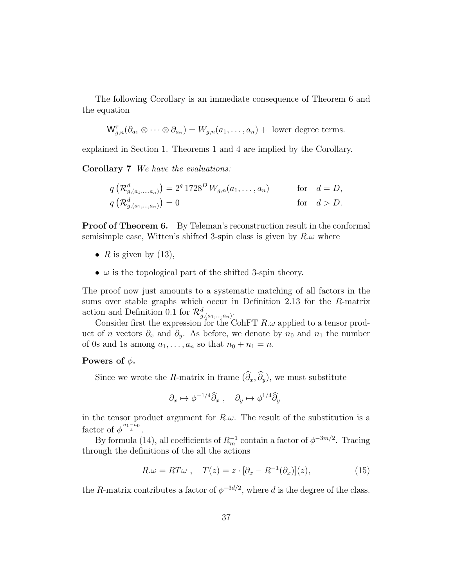The following Corollary is an immediate consequence of Theorem 6 and the equation

$$
\mathsf{W}_{g,n}^{\tau}(\partial_{a_1} \otimes \cdots \otimes \partial_{a_n}) = W_{g,n}(a_1,\ldots,a_n) + \text{ lower degree terms.}
$$

explained in Section 1. Theorems 1 and 4 are implied by the Corollary.

Corollary 7 We have the evaluations:

$$
q\left(\mathcal{R}_{g,(a_1,...,a_n)}^d\right) = 2^g 1728^D W_{g,n}(a_1,...,a_n) \quad \text{for} \quad d = D, q\left(\mathcal{R}_{g,(a_1,...,a_n)}^d\right) = 0 \quad \text{for} \quad d > D.
$$

**Proof of Theorem 6.** By Teleman's reconstruction result in the conformal semisimple case, Witten's shifted 3-spin class is given by  $R.\omega$  where

- R is given by  $(13)$ ,
- $\omega$  is the topological part of the shifted 3-spin theory.

The proof now just amounts to a systematic matching of all factors in the sums over stable graphs which occur in Definition 2.13 for the R-matrix action and Definition 0.1 for  $\mathcal{R}^d_{g,(a_1,...,a_n)}$ .

Consider first the expression for the CohFT  $R.\omega$  applied to a tensor product of *n* vectors  $\partial_x$  and  $\partial_y$ . As before, we denote by  $n_0$  and  $n_1$  the number of 0s and 1s among  $a_1, \ldots, a_n$  so that  $n_0 + n_1 = n$ .

#### Powers of  $\phi$ .

Since we wrote the R-matrix in frame  $(\widehat{\partial}_x, \widehat{\partial}_y)$ , we must substitute

$$
\partial_x \mapsto \phi^{-1/4} \widehat{\partial}_x , \quad \partial_y \mapsto \phi^{1/4} \widehat{\partial}_y
$$

in the tensor product argument for  $R.\omega$ . The result of the substitution is a factor of  $\phi^{\frac{n_1-n_0}{4}}$ .

By formula (14), all coefficients of  $R_m^{-1}$  contain a factor of  $\phi^{-3m/2}$ . Tracing through the definitions of the all the actions

$$
R.\omega = RT\omega \ , \quad T(z) = z \cdot [\partial_x - R^{-1}(\partial_x)](z), \tag{15}
$$

the R-matrix contributes a factor of  $\phi^{-3d/2}$ , where d is the degree of the class.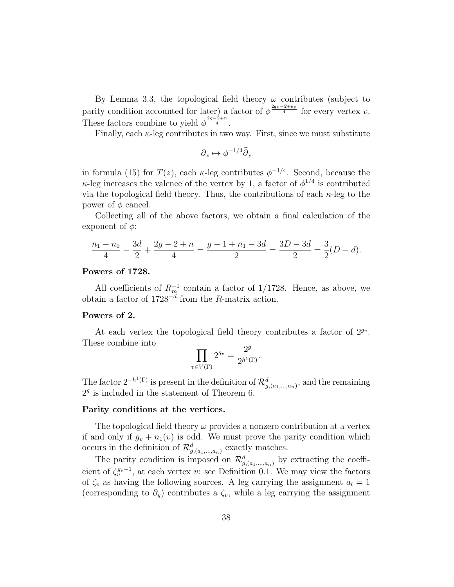By Lemma 3.3, the topological field theory  $\omega$  contributes (subject to parity condition accounted for later) a factor of  $\phi^{\frac{2\mathbf{g}_v-2+n_v}{4}}$  for every vertex v. These factors combine to yield  $\phi^{\frac{2g-2+n}{4}}$ .

Finally, each  $\kappa$ -leg contributes in two way. First, since we must substitute

$$
\partial_x \mapsto \phi^{-1/4} \widehat{\partial}_x
$$

in formula (15) for  $T(z)$ , each  $\kappa$ -leg contributes  $\phi^{-1/4}$ . Second, because the  $\kappa$ -leg increases the valence of the vertex by 1, a factor of  $\phi^{1/4}$  is contributed via the topological field theory. Thus, the contributions of each  $\kappa$ -leg to the power of  $\phi$  cancel.

Collecting all of the above factors, we obtain a final calculation of the exponent of  $\phi$ :

$$
\frac{n_1 - n_0}{4} - \frac{3d}{2} + \frac{2g - 2 + n}{4} = \frac{g - 1 + n_1 - 3d}{2} = \frac{3D - 3d}{2} = \frac{3}{2}(D - d).
$$

#### Powers of 1728.

All coefficients of  $R_m^{-1}$  contain a factor of 1/1728. Hence, as above, we obtain a factor of  $1728^{-d}$  from the R-matrix action.

#### Powers of 2.

At each vertex the topological field theory contributes a factor of  $2^{g_v}$ . These combine into

$$
\prod_{v \in V(\Gamma)} 2^{g_v} = \frac{2^g}{2^{h^1(\Gamma)}}.
$$

The factor  $2^{-h^1(\Gamma)}$  is present in the definition of  $\mathcal{R}^d_{g,(a_1,...,a_n)}$ , and the remaining  $2<sup>g</sup>$  is included in the statement of Theorem 6.

#### Parity conditions at the vertices.

The topological field theory  $\omega$  provides a nonzero contribution at a vertex if and only if  $q_v + n_1(v)$  is odd. We must prove the parity condition which occurs in the definition of  $\mathcal{R}^d_{g,(a_1,...,a_n)}$  exactly matches.

The parity condition is imposed on  $\mathcal{R}^d_{g,(a_1,...,a_n)}$  by extracting the coefficient of  $\zeta_v^{g_v-1}$ , at each vertex v: see Definition 0.1. We may view the factors of  $\zeta_v$  as having the following sources. A leg carrying the assignment  $a_l = 1$ (corresponding to  $\partial_y$ ) contributes a  $\zeta_v$ , while a leg carrying the assignment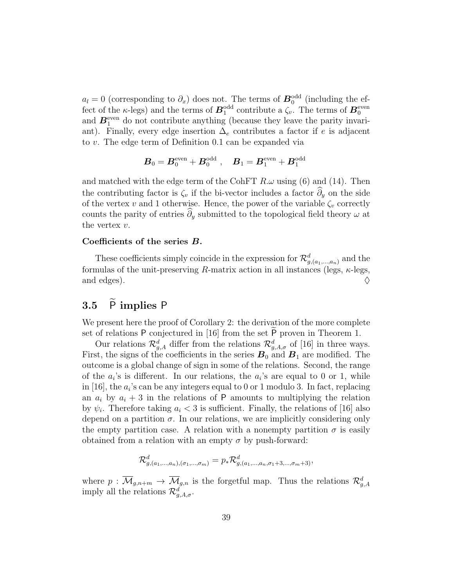$a_l = 0$  (corresponding to  $\partial_x$ ) does not. The terms of  $\mathbf{B}_0^{\text{odd}}$  (including the effect of the  $\kappa$ -legs) and the terms of  $B_1^{\text{odd}}$  contribute a  $\zeta_v$ . The terms of  $B_0^{\text{even}}$ and  $B_1^{\text{even}}$  do not contribute anything (because they leave the parity invariant). Finally, every edge insertion  $\Delta_e$  contributes a factor if e is adjacent to v. The edge term of Definition 0.1 can be expanded via

$$
\bm{B}_0 = \bm{B}_0^{\text{even}} + \bm{B}_0^{\text{odd}} \; , \quad \bm{B}_1 = \bm{B}_1^{\text{even}} + \bm{B}_1^{\text{odd}}
$$

and matched with the edge term of the CohFT  $R.\omega$  using (6) and (14). Then the contributing factor is  $\zeta_v$  if the bi-vector includes a factor  $\hat{\partial}_y$  on the side of the vertex v and 1 otherwise. Hence, the power of the variable  $\zeta_v$  correctly counts the parity of entries  $\hat{\partial}_y$  submitted to the topological field theory  $\omega$  at the vertex  $v$ .

#### Coefficients of the series B.

These coefficients simply coincide in the expression for  $\mathcal{R}^d_{g,(a_1,...,a_n)}$  and the formulas of the unit-preserving R-matrix action in all instances (legs,  $\kappa$ -legs, and edges).  $\Diamond$ 

## 3.5  $\tilde{P}$  implies P

We present here the proof of Corollary 2: the derivation of the more complete set of relations  $P$  conjectured in [16] from the set  $P$  proven in Theorem 1.

Our relations  $\mathcal{R}_{g,A}^d$  differ from the relations  $\mathcal{R}_{g,A,\sigma}^d$  of [16] in three ways. First, the signs of the coefficients in the series  $B_0$  and  $B_1$  are modified. The outcome is a global change of sign in some of the relations. Second, the range of the  $a_i$ 's is different. In our relations, the  $a_i$ 's are equal to 0 or 1, while in [16], the  $a_i$ 's can be any integers equal to 0 or 1 modulo 3. In fact, replacing an  $a_i$  by  $a_i + 3$  in the relations of P amounts to multiplying the relation by  $\psi_i$ . Therefore taking  $a_i < 3$  is sufficient. Finally, the relations of [16] also depend on a partition  $\sigma$ . In our relations, we are implicitly considering only the empty partition case. A relation with a nonempty partition  $\sigma$  is easily obtained from a relation with an empty  $\sigma$  by push-forward:

$$
\mathcal{R}_{g,(a_1,...,a_n),(\sigma_1,...,\sigma_m)}^d = p_* \mathcal{R}_{g,(a_1,...,a_n,\sigma_1+3,...,\sigma_m+3)}^d,
$$

where  $p: \overline{\mathcal{M}}_{g,n+m} \to \overline{\mathcal{M}}_{g,n}$  is the forgetful map. Thus the relations  $\mathcal{R}_{g,A}^d$ imply all the relations  $\mathcal{R}^d_{g,A,\sigma}$ .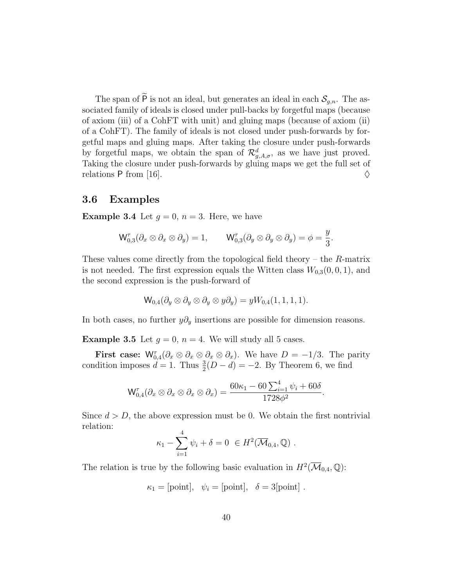The span of  $\widetilde{P}$  is not an ideal, but generates an ideal in each  $\mathcal{S}_{q,n}$ . The associated family of ideals is closed under pull-backs by forgetful maps (because of axiom (iii) of a CohFT with unit) and gluing maps (because of axiom (ii) of a CohFT). The family of ideals is not closed under push-forwards by forgetful maps and gluing maps. After taking the closure under push-forwards by forgetful maps, we obtain the span of  $\mathcal{R}^d_{g,A,\sigma}$ , as we have just proved. Taking the closure under push-forwards by gluing maps we get the full set of relations P from [16].  $\diamond$ 

### 3.6 Examples

**Example 3.4** Let  $q = 0$ ,  $n = 3$ . Here, we have

$$
\mathsf{W}^{\tau}_{0,3}(\partial_x \otimes \partial_x \otimes \partial_y) = 1, \qquad \mathsf{W}^{\tau}_{0,3}(\partial_y \otimes \partial_y \otimes \partial_y) = \phi = \frac{y}{3}.
$$

These values come directly from the topological field theory – the  $R$ -matrix is not needed. The first expression equals the Witten class  $W_{0,3}(0,0,1)$ , and the second expression is the push-forward of

$$
\mathsf{W}_{0,4}(\partial_y \otimes \partial_y \otimes \partial_y \otimes y \partial_y) = yW_{0,4}(1,1,1,1).
$$

In both cases, no further  $y\partial_y$  insertions are possible for dimension reasons.

**Example 3.5** Let  $g = 0$ ,  $n = 4$ . We will study all 5 cases.

First case:  $\mathsf{W}_{0,4}^{\tau}(\partial_x \otimes \partial_x \otimes \partial_x \otimes \partial_x)$ . We have  $D = -1/3$ . The parity condition imposes  $d = 1$ . Thus  $\frac{3}{2}(D - d) = -2$ . By Theorem 6, we find

$$
\mathsf{W}^{\tau}_{0,4}(\partial_x \otimes \partial_x \otimes \partial_x \otimes \partial_x) = \frac{60\kappa_1 - 60\sum_{i=1}^4 \psi_i + 60\delta}{1728\phi^2}.
$$

Since  $d > D$ , the above expression must be 0. We obtain the first nontrivial relation:

$$
\kappa_1 - \sum_{i=1}^4 \psi_i + \delta = 0 \in H^2(\overline{\mathcal{M}}_{0,4}, \mathbb{Q}) .
$$

The relation is true by the following basic evaluation in  $H^2(\overline{\mathcal{M}}_{0,4}, \mathbb{Q})$ :

$$
\kappa_1 = [\text{point}], \ \psi_i = [\text{point}], \ \delta = 3[\text{point}].
$$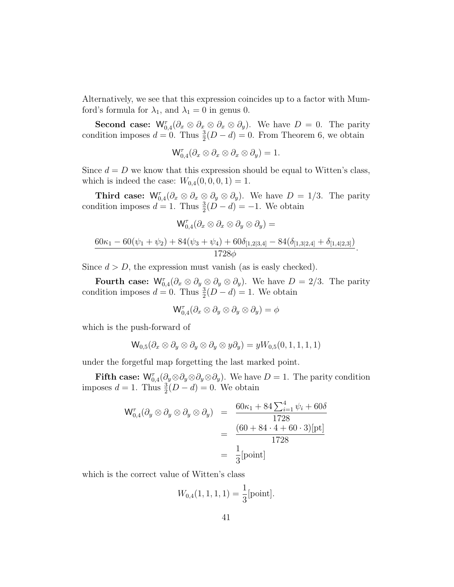Alternatively, we see that this expression coincides up to a factor with Mumford's formula for  $\lambda_1$ , and  $\lambda_1 = 0$  in genus 0.

**Second case:**  $\mathsf{W}_{0,4}^{\tau}(\partial_x \otimes \partial_x \otimes \partial_x \otimes \partial_y)$ . We have  $D = 0$ . The parity condition imposes  $d = 0$ . Thus  $\frac{3}{2}(D - d) = 0$ . From Theorem 6, we obtain

$$
\mathsf{W}^{\tau}_{0,4}(\partial_x \otimes \partial_x \otimes \partial_x \otimes \partial_y) = 1.
$$

Since  $d = D$  we know that this expression should be equal to Witten's class, which is indeed the case:  $W_{0,4}(0, 0, 0, 1) = 1$ .

**Third case:**  $\mathsf{W}_{0,4}^{\tau}(\partial_x \otimes \partial_x \otimes \partial_y \otimes \partial_y)$ . We have  $D = 1/3$ . The parity condition imposes  $d = 1$ . Thus  $\frac{3}{2}(D - d) = -1$ . We obtain

$$
W_{0,4}^{\tau}(\partial_x \otimes \partial_x \otimes \partial_y \otimes \partial_y) =
$$
  

$$
\frac{60\kappa_1 - 60(\psi_1 + \psi_2) + 84(\psi_3 + \psi_4) + 60\delta_{[1,2]3,4]} - 84(\delta_{[1,3]2,4]} + \delta_{[1,4]2,3]})}{1728\phi}.
$$

Since  $d > D$ , the expression must vanish (as is easly checked).

Fourth case:  $\mathsf{W}^{\tau}_{0,4}(\partial_x \otimes \partial_y \otimes \partial_y \otimes \partial_y)$ . We have  $D = 2/3$ . The parity condition imposes  $d = 0$ . Thus  $\frac{3}{2}(D - d) = 1$ . We obtain

$$
\mathsf{W}^{\tau}_{0,4}(\partial_x \otimes \partial_y \otimes \partial_y \otimes \partial_y) = \phi
$$

which is the push-forward of

$$
W_{0,5}(\partial_x \otimes \partial_y \otimes \partial_y \otimes \partial_y \otimes y\partial_y) = yW_{0,5}(0,1,1,1,1)
$$

under the forgetful map forgetting the last marked point.

**Fifth case:**  $\mathsf{W}_{0,4}^{\tau}(\partial_y \otimes \partial_y \otimes \partial_y \otimes \partial_y)$ . We have  $D = 1$ . The parity condition imposes  $d = 1$ . Thus  $\frac{3}{2}(D - d) = 0$ . We obtain

$$
W_{0,4}^{\tau}(\partial_y \otimes \partial_y \otimes \partial_y \otimes \partial_y) = \frac{60\kappa_1 + 84\sum_{i=1}^4 \psi_i + 60\delta}{1728}
$$
  
= 
$$
\frac{(60 + 84 \cdot 4 + 60 \cdot 3)[pt]}{1728}
$$
  
= 
$$
\frac{1}{3}[\text{point}]
$$

which is the correct value of Witten's class

$$
W_{0,4}(1,1,1,1) = \frac{1}{3}[\text{point}].
$$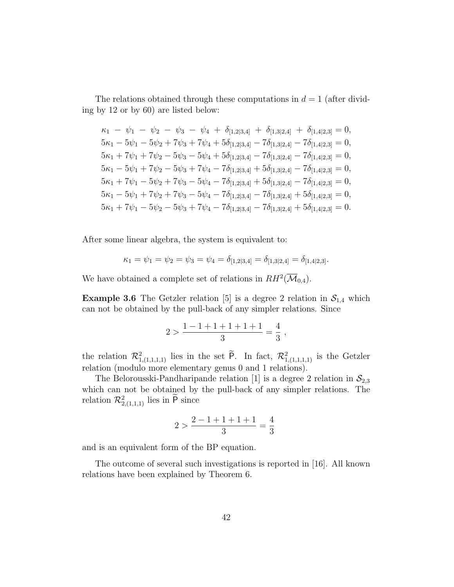The relations obtained through these computations in  $d = 1$  (after dividing by 12 or by 60) are listed below:

$$
\kappa_1 - \psi_1 - \psi_2 - \psi_3 - \psi_4 + \delta_{[1,2|3,4]} + \delta_{[1,3|2,4]} + \delta_{[1,4|2,3]} = 0,
$$
  
\n
$$
5\kappa_1 - 5\psi_1 - 5\psi_2 + 7\psi_3 + 7\psi_4 + 5\delta_{[1,2|3,4]} - 7\delta_{[1,3|2,4]} - 7\delta_{[1,4|2,3]} = 0,
$$
  
\n
$$
5\kappa_1 + 7\psi_1 + 7\psi_2 - 5\psi_3 - 5\psi_4 + 5\delta_{[1,2|3,4]} - 7\delta_{[1,3|2,4]} - 7\delta_{[1,4|2,3]} = 0,
$$
  
\n
$$
5\kappa_1 - 5\psi_1 + 7\psi_2 - 5\psi_3 + 7\psi_4 - 7\delta_{[1,2|3,4]} + 5\delta_{[1,3|2,4]} - 7\delta_{[1,4|2,3]} = 0,
$$
  
\n
$$
5\kappa_1 + 7\psi_1 - 5\psi_2 + 7\psi_3 - 5\psi_4 - 7\delta_{[1,2|3,4]} + 5\delta_{[1,3|2,4]} - 7\delta_{[1,4|2,3]} = 0,
$$
  
\n
$$
5\kappa_1 - 5\psi_1 + 7\psi_2 + 7\psi_3 - 5\psi_4 - 7\delta_{[1,2|3,4]} - 7\delta_{[1,3|2,4]} + 5\delta_{[1,4|2,3]} = 0,
$$
  
\n
$$
5\kappa_1 + 7\psi_1 - 5\psi_2 - 5\psi_3 + 7\psi_4 - 7\delta_{[1,2|3,4]} - 7\delta_{[1,3|2,4]} + 5\delta_{[1,4|2,3]} = 0.
$$

After some linear algebra, the system is equivalent to:

$$
\kappa_1 = \psi_1 = \psi_2 = \psi_3 = \psi_4 = \delta_{[1,2|3,4]} = \delta_{[1,3|2,4]} = \delta_{[1,4|2,3]}.
$$

We have obtained a complete set of relations in  $RH^2(\overline{\mathcal{M}}_{0,4})$ .

**Example 3.6** The Getzler relation [5] is a degree 2 relation in  $S_{1,4}$  which can not be obtained by the pull-back of any simpler relations. Since

$$
2 > \frac{1 - 1 + 1 + 1 + 1 + 1}{3} = \frac{4}{3} ,
$$

the relation  $\mathcal{R}_{1,(1,1,1,1)}^2$  lies in the set P. In fact,  $\mathcal{R}_{1,(1,1,1,1)}^2$  is the Getzler relation (modulo more elementary genus 0 and 1 relations).

The Belorousski-Pandharipande relation [1] is a degree 2 relation in  $\mathcal{S}_{2,3}$ which can not be obtained by the pull-back of any simpler relations. The relation  $\mathcal{R}_{2,(1,1,1)}^2$  lies in  $\overline{P}$  since

$$
2 > \frac{2 - 1 + 1 + 1 + 1}{3} = \frac{4}{3}
$$

and is an equivalent form of the BP equation.

The outcome of several such investigations is reported in [16]. All known relations have been explained by Theorem 6.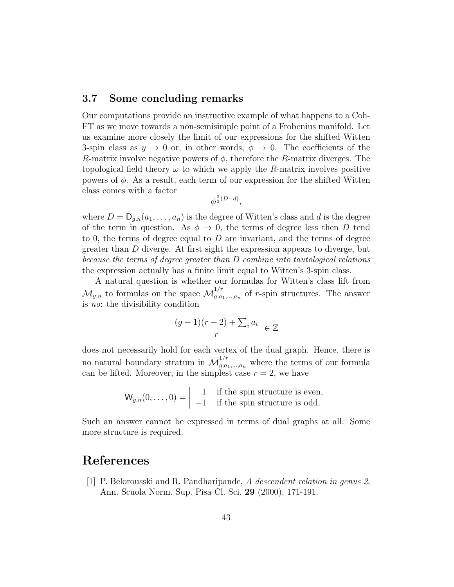## 3.7 Some concluding remarks

Our computations provide an instructive example of what happens to a Coh-FT as we move towards a non-semisimple point of a Frobenius manifold. Let us examine more closely the limit of our expressions for the shifted Witten 3-spin class as  $y \to 0$  or, in other words,  $\phi \to 0$ . The coefficients of the R-matrix involve negative powers of  $\phi$ , therefore the R-matrix diverges. The topological field theory  $\omega$  to which we apply the R-matrix involves positive powers of  $\phi$ . As a result, each term of our expression for the shifted Witten class comes with a factor

$$
\phi^{\frac{2}{3}(D-d)},
$$

where  $D = D_{q,n}(a_1, \ldots, a_n)$  is the degree of Witten's class and d is the degree of the term in question. As  $\phi \rightarrow 0$ , the terms of degree less then D tend to 0, the terms of degree equal to  $D$  are invariant, and the terms of degree greater than D diverge. At first sight the expression appears to diverge, but because the terms of degree greater than D combine into tautological relations the expression actually has a finite limit equal to Witten's 3-spin class.

A natural question is whether our formulas for Witten's class lift from  $\overline{\mathcal{M}}_{g,n}$  to formulas on the space  $\overline{\mathcal{M}}_{g,a}^{1/r}$  $g_i^{(1)}(a_1,...,a_n)$  of r-spin structures. The answer is no: the divisibility condition

$$
\frac{(g-1)(r-2)+\sum_i a_i}{r} \in \mathbb{Z}
$$

does not necessarily hold for each vertex of the dual graph. Hence, there is no natural boundary stratum in  $\overline{\mathcal{M}}_{g; a_1,...,a_n}^{1/r}$  where the terms of our formula can be lifted. Moreover, in the simplest case  $r = 2$ , we have

$$
\mathsf{W}_{g,n}(0,\ldots,0) = \begin{vmatrix} 1 & \text{if the spin structure is even,} \\ -1 & \text{if the spin structure is odd.} \end{vmatrix}
$$

Such an answer cannot be expressed in terms of dual graphs at all. Some more structure is required.

## References

[1] P. Belorousski and R. Pandharipande, A descendent relation in genus 2, Ann. Scuola Norm. Sup. Pisa Cl. Sci. 29 (2000), 171-191.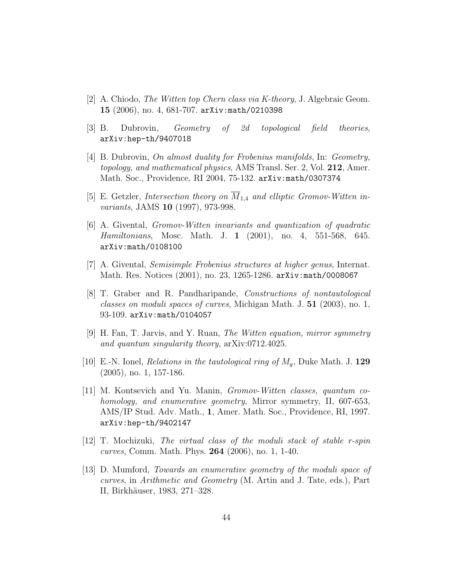- [2] A. Chiodo, *The Witten top Chern class via K-theory*, J. Algebraic Geom. 15 (2006), no. 4, 681-707. arXiv:math/0210398
- [3] B. Dubrovin, Geometry of 2d topological field theories, arXiv:hep-th/9407018
- [4] B. Dubrovin, On almost duality for Frobenius manifolds, In: Geometry, topology, and mathematical physics, AMS Transl. Ser. 2, Vol. 212, Amer. Math. Soc., Providence, RI 2004, 75-132. arXiv:math/0307374
- [5] E. Getzler, Intersection theory on  $\overline{M}_{1,4}$  and elliptic Gromov-Witten invariants, JAMS **10** (1997), 973-998.
- [6] A. Givental, Gromov-Witten invariants and quantization of quadratic Hamiltonians, Mosc. Math. J. 1 (2001), no. 4, 551-568, 645. arXiv:math/0108100
- [7] A. Givental, Semisimple Frobenius structures at higher genus, Internat. Math. Res. Notices (2001), no. 23, 1265-1286. arXiv:math/0008067
- [8] T. Graber and R. Pandharipande, Constructions of nontautological classes on moduli spaces of curves, Michigan Math. J. 51 (2003), no. 1, 93-109. arXiv:math/0104057
- [9] H. Fan, T. Jarvis, and Y. Ruan, The Witten equation, mirror symmetry and quantum singularity theory, arXiv:0712.4025.
- [10] E.-N. Ionel, *Relations in the tautological ring of*  $M_q$ , Duke Math. J. 129 (2005), no. 1, 157-186.
- [11] M. Kontsevich and Yu. Manin, Gromov-Witten classes, quantum cohomology, and enumerative geometry, Mirror symmetry, II, 607-653, AMS/IP Stud. Adv. Math., 1, Amer. Math. Soc., Providence, RI, 1997. arXiv:hep-th/9402147
- [12] T. Mochizuki, The virtual class of the moduli stack of stable r-spin curves, Comm. Math. Phys. 264 (2006), no. 1, 1-40.
- [13] D. Mumford, Towards an enumerative geometry of the moduli space of curves, in Arithmetic and Geometry (M. Artin and J. Tate, eds.), Part II, Birkhäuser, 1983, 271–328.